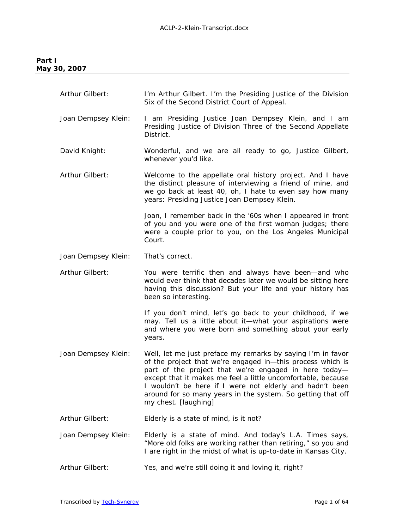# *Part I May 30, 2007*

| Arthur Gilbert:     | I'm Arthur Gilbert. I'm the Presiding Justice of the Division<br>Six of the Second District Court of Appeal.                                                                                                                                                                                                                                                                                          |
|---------------------|-------------------------------------------------------------------------------------------------------------------------------------------------------------------------------------------------------------------------------------------------------------------------------------------------------------------------------------------------------------------------------------------------------|
| Joan Dempsey Klein: | I am Presiding Justice Joan Dempsey Klein, and I am<br>Presiding Justice of Division Three of the Second Appellate<br>District.                                                                                                                                                                                                                                                                       |
| David Knight:       | Wonderful, and we are all ready to go, Justice Gilbert,<br>whenever you'd like.                                                                                                                                                                                                                                                                                                                       |
| Arthur Gilbert:     | Welcome to the appellate oral history project. And I have<br>the distinct pleasure of interviewing a friend of mine, and<br>we go back at least 40, oh, I hate to even say how many<br>years: Presiding Justice Joan Dempsey Klein.                                                                                                                                                                   |
|                     | Joan, I remember back in the '60s when I appeared in front<br>of you and you were one of the first woman judges; there<br>were a couple prior to you, on the Los Angeles Municipal<br>Court.                                                                                                                                                                                                          |
| Joan Dempsey Klein: | That's correct.                                                                                                                                                                                                                                                                                                                                                                                       |
| Arthur Gilbert:     | You were terrific then and always have been—and who<br>would ever think that decades later we would be sitting here<br>having this discussion? But your life and your history has<br>been so interesting.                                                                                                                                                                                             |
|                     | If you don't mind, let's go back to your childhood, if we<br>may. Tell us a little about it-what your aspirations were<br>and where you were born and something about your early<br>years.                                                                                                                                                                                                            |
| Joan Dempsey Klein: | Well, let me just preface my remarks by saying I'm in favor<br>of the project that we're engaged in-this process which is<br>part of the project that we're engaged in here today-<br>except that it makes me feel a little uncomfortable, because<br>I wouldn't be here if I were not elderly and hadn't been<br>around for so many years in the system. So getting that off<br>my chest. [laughing] |
| Arthur Gilbert:     | Elderly is a state of mind, is it not?                                                                                                                                                                                                                                                                                                                                                                |
| Joan Dempsey Klein: | Elderly is a state of mind. And today's L.A. Times says,<br>"More old folks are working rather than retiring," so you and<br>I are right in the midst of what is up-to-date in Kansas City.                                                                                                                                                                                                           |
| Arthur Gilbert:     | Yes, and we're still doing it and loving it, right?                                                                                                                                                                                                                                                                                                                                                   |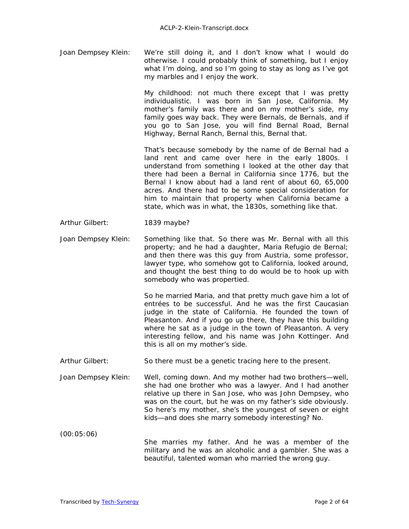Joan Dempsey Klein: We're still doing it, and I don't know what I would do otherwise. I could probably think of something, but I enjoy what I'm doing, and so I'm going to stay as long as I've got my marbles and I enjoy the work.

> My childhood: not much there except that I was pretty individualistic. I was born in San Jose, California. My mother's family was there and on my mother's side, my family goes way back. They were Bernals, de Bernals, and if you go to San Jose, you will find Bernal Road, Bernal Highway, Bernal Ranch, Bernal this, Bernal that.

> That's because somebody by the name of de Bernal had a land rent and came over here in the early 1800s. I understand from something I looked at the other day that there had been a Bernal in California since 1776, but the Bernal I know about had a land rent of about 60, 65,000 acres. And there had to be some special consideration for him to maintain that property when California became a state, which was in what, the 1830s, something like that.

### Arthur Gilbert: 1839 maybe?

Joan Dempsey Klein: Something like that. So there was Mr. Bernal with all this property; and he had a daughter, Maria Refugio de Bernal; and then there was this guy from Austria, some professor, lawyer type, who somehow got to California, looked around, and thought the best thing to do would be to hook up with somebody who was propertied.

> So he married Maria, and that pretty much gave him a lot of entrées to be successful. And he was the first Caucasian judge in the state of California. He founded the town of Pleasanton. And if you go up there, they have this building where he sat as a judge in the town of Pleasanton. A very interesting fellow, and his name was John Kottinger. And this is all on my mother's side.

- Arthur Gilbert: So there must be a genetic tracing here to the present.
- Joan Dempsey Klein: Well, coming down. And my mother had two brothers—well, she had one brother who was a lawyer. And I had another relative up there in San Jose, who was John Dempsey, who was on the court, but he was on my father's side obviously. So here's my mother, she's the youngest of seven or eight kids—and does she marry somebody interesting? No.

(00:05:06)

 She marries my father. And he was a member of the military and he was an alcoholic and a gambler. She was a beautiful, talented woman who married the wrong guy.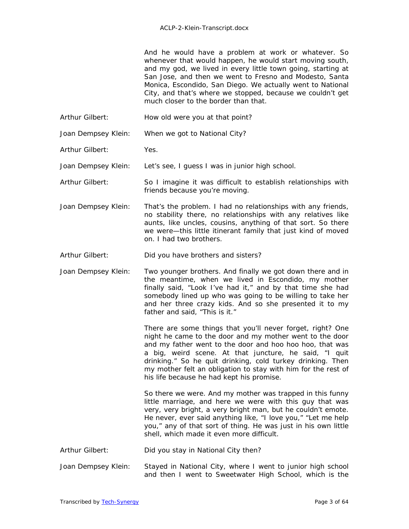And he would have a problem at work or whatever. So whenever that would happen, he would start moving south, and my god, we lived in every little town going, starting at San Jose, and then we went to Fresno and Modesto, Santa Monica, Escondido, San Diego. We actually went to National City, and that's where we stopped, because we couldn't get much closer to the border than that.

Arthur Gilbert: How old were you at that point?

Joan Dempsey Klein: When we got to National City?

Arthur Gilbert: Yes.

Joan Dempsey Klein: Let's see, I guess I was in junior high school.

Arthur Gilbert: So I imagine it was difficult to establish relationships with friends because you're moving.

Joan Dempsey Klein: That's the problem. I had no relationships with any friends, no stability there, no relationships with any relatives like aunts, like uncles, cousins, anything of that sort. So there we were—this little itinerant family that just kind of moved on. I had two brothers.

Arthur Gilbert: Did you have brothers and sisters?

Joan Dempsey Klein: Two younger brothers. And finally we got down there and in the meantime, when we lived in Escondido, my mother finally said, "Look I've had it," and by that time she had somebody lined up who was going to be willing to take her and her three crazy kids. And so she presented it to my father and said, "This is it."

> There are some things that you'll never forget, right? One night he came to the door and my mother went to the door and my father went to the door and hoo hoo hoo, that was a big, weird scene. At that juncture, he said, "I quit drinking." So he quit drinking, cold turkey drinking. Then my mother felt an obligation to stay with him for the rest of his life because he had kept his promise.

 So there we were. And my mother was trapped in this funny little marriage, and here we were with this guy that was very, very bright, a very bright man, but he couldn't emote. He never, ever said anything like, "I love you," "Let me help you," any of that sort of thing. He was just in his own little shell, which made it even more difficult.

Arthur Gilbert: Did you stay in National City then?

Joan Dempsey Klein: Stayed in National City, where I went to junior high school and then I went to Sweetwater High School, which is the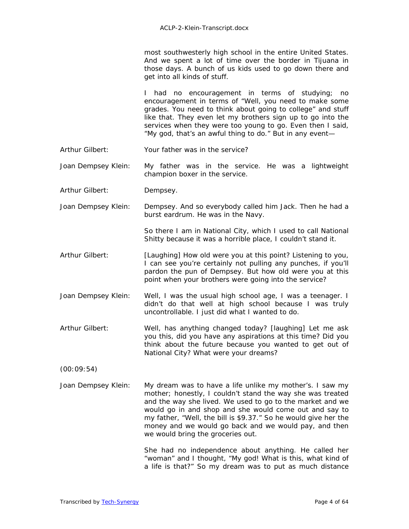most southwesterly high school in the entire United States. And we spent a lot of time over the border in Tijuana in those days. A bunch of us kids used to go down there and get into all kinds of stuff.

I had no encouragement in terms of studying; no encouragement in terms of "Well, you need to make some grades. You need to think about going to college" and stuff like that. They even let my brothers sign up to go into the services when they were too young to go. Even then I said, "My god, that's an awful thing to do." But in any event—

Arthur Gilbert: Your father was in the service?

Joan Dempsey Klein: My father was in the service. He was a lightweight champion boxer in the service.

Arthur Gilbert: Dempsey.

Joan Dempsey Klein: Dempsey. And so everybody called him Jack. Then he had a burst eardrum. He was in the Navy.

> So there I am in National City, which I used to call National Shitty because it was a horrible place, I couldn't stand it.

- Arthur Gilbert: *[Laughing]* How old were you at this point? Listening to you, I can see you're certainly not pulling any punches, if you'll pardon the pun of Dempsey. But how old were you at this point when your brothers were going into the service?
- Joan Dempsey Klein: Well, I was the usual high school age, I was a teenager. I didn't do that well at high school because I was truly uncontrollable. I just did what I wanted to do.
- Arthur Gilbert: Well, has anything changed today? *[laughing]* Let me ask you this, did you have any aspirations at this time? Did you think about the future because you wanted to get out of National City? What were your dreams?

(00:09:54)

Joan Dempsey Klein: My dream was to have a life unlike my mother's. I saw my mother; honestly, I couldn't stand the way she was treated and the way she lived. We used to go to the market and we would go in and shop and she would come out and say to my father, "Well, the bill is \$9.37." So he would give her the money and we would go back and we would pay, and then we would bring the groceries out.

> She had no independence about anything. He called her "woman" and I thought, "My god! What is this, what kind of a life is that?" So my dream was to put as much distance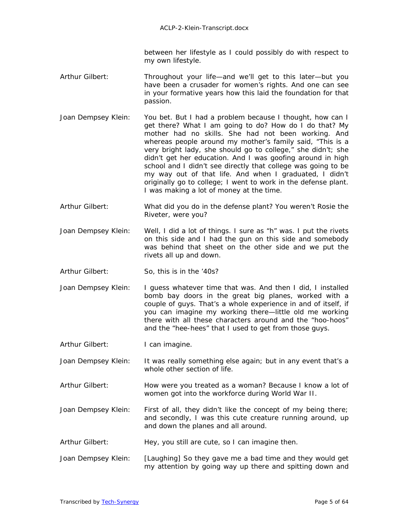between her lifestyle as I could possibly do with respect to my own lifestyle.

- Arthur Gilbert: Throughout your life—and we'll get to this later—but you have been a crusader for women's rights. And one can see in your formative years how this laid the foundation for that passion.
- Joan Dempsey Klein: You bet. But I had a problem because I thought, how can I get there? What I am going to do? How do I do that? My mother had no skills. She had not been working. And whereas people around my mother's family said, "This is a very bright lady, she should go to college," she didn't; she didn't get her education. And I was goofing around in high school and I didn't see directly that college was going to be my way out of that life. And when I graduated, I didn't originally go to college; I went to work in the defense plant. I was making a lot of money at the time.
- Arthur Gilbert: What did you do in the defense plant? You weren't Rosie the Riveter, were you?
- Joan Dempsey Klein: Well, I did a lot of things. I sure as "h" was. I put the rivets on this side and I had the gun on this side and somebody was behind that sheet on the other side and we put the rivets all up and down.
- Arthur Gilbert: So, this is in the '40s?
- Joan Dempsey Klein: I guess whatever time that was. And then I did, I installed bomb bay doors in the great big planes, worked with a couple of guys. That's a whole experience in and of itself, if you can imagine my working there—little old me working there with all these characters around and the "hoo-hoos" and the "hee-hees" that I used to get from those guys.
- Arthur Gilbert: I can imagine.
- Joan Dempsey Klein: It was really something else again; but in any event that's a whole other section of life.
- Arthur Gilbert: How were you treated as a woman? Because I know a lot of women got into the workforce during World War II.
- Joan Dempsey Klein: First of all, they didn't like the concept of my being there; and secondly, I was this cute creature running around, up and down the planes and all around.
- Arthur Gilbert: Hey, you still are cute, so I can imagine then.
- Joan Dempsey Klein: *[Laughing]* So they gave me a bad time and they would get my attention by going way up there and spitting down and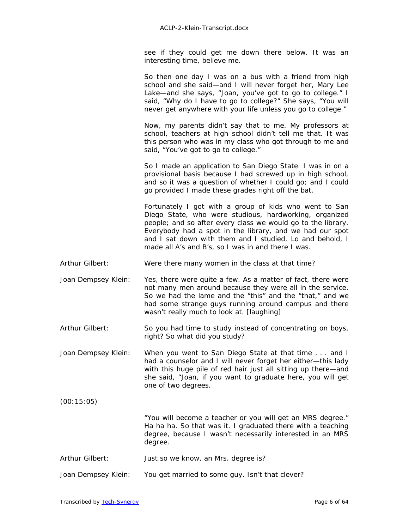see if they could get me down there below. It was an interesting time, believe me.

So then one day I was on a bus with a friend from high school and she said—and I will never forget her, Mary Lee Lake—and she says, "Joan, you've got to go to college." I said, "Why do I have to go to college?" She says, "You will never get anywhere with your life unless you go to college."

Now, my parents didn't say that to me. My professors at school, teachers at high school didn't tell me that. It was this person who was in my class who got through to me and said, "You've got to go to college."

So I made an application to San Diego State. I was in on a provisional basis because I had screwed up in high school, and so it was a question of whether I could go; and I could go provided I made these grades right off the bat.

 Fortunately I got with a group of kids who went to San Diego State, who were studious, hardworking, organized people; and so after every class we would go to the library. Everybody had a spot in the library, and we had our spot and I sat down with them and I studied. Lo and behold, I made all A's and B's, so I was in and there I was.

Arthur Gilbert: Were there many women in the class at that time?

- Joan Dempsey Klein: Yes, there were quite a few. As a matter of fact, there were not many men around because they were all in the service. So we had the lame and the "this" and the "that," and we had some strange guys running around campus and there wasn't really much to look at. *[laughing]*
- Arthur Gilbert: So you had time to study instead of concentrating on boys, right? So what did you study?
- Joan Dempsey Klein: When you went to San Diego State at that time . . . and I had a counselor and I will never forget her either—this lady with this huge pile of red hair just all sitting up there—and she said, "Joan, if you want to graduate here, you will get one of two degrees.
- (00:15:05)

 "You will become a teacher or you will get an MRS degree." Ha ha ha. So that was it. I graduated there with a teaching degree, because I wasn't necessarily interested in an MRS degree.

- Arthur Gilbert: Just so we know, an Mrs. degree is?
- Joan Dempsey Klein: You get married to some guy. Isn't that clever?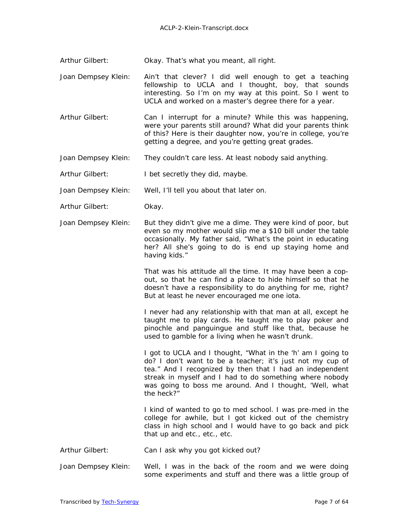Arthur Gilbert: Okay. That's what you meant, all right.

Joan Dempsey Klein: Ain't that clever? I did well enough to get a teaching fellowship to UCLA and I thought, boy, that sounds interesting. So I'm on my way at this point. So I went to UCLA and worked on a master's degree there for a year.

- Arthur Gilbert: Can I interrupt for a minute? While this was happening, were your parents still around? What did your parents think of this? Here is their daughter now, you're in college, you're getting a degree, and you're getting great grades.
- Joan Dempsey Klein: They couldn't care less. At least nobody said anything.

Arthur Gilbert: I bet secretly they did, maybe.

Joan Dempsey Klein: Well, I'll tell you about that later on.

- Arthur Gilbert: Okay.
- Joan Dempsey Klein: But they didn't give me a dime. They were kind of poor, but even so my mother would slip me a \$10 bill under the table occasionally. My father said, "What's the point in educating her? All she's going to do is end up staying home and having kids."

That was his attitude all the time. It may have been a copout, so that he can find a place to hide himself so that he doesn't have a responsibility to do anything for me, right? But at least he never encouraged me one iota.

I never had any relationship with that man at all, except he taught me to play cards. He taught me to play poker and pinochle and panguingue and stuff like that, because he used to gamble for a living when he wasn't drunk.

 I got to UCLA and I thought, "What in the 'h' am I going to do? I don't want to be a teacher; it's just not my cup of tea." And I recognized by then that I had an independent streak in myself and I had to do something where nobody was going to boss me around. And I thought, 'Well, what the heck?"

I kind of wanted to go to med school. I was pre-med in the college for awhile, but I got kicked out of the chemistry class in high school and I would have to go back and pick that up and etc., etc., etc.

- Arthur Gilbert: Can I ask why you got kicked out?
- Joan Dempsey Klein: Well, I was in the back of the room and we were doing some experiments and stuff and there was a little group of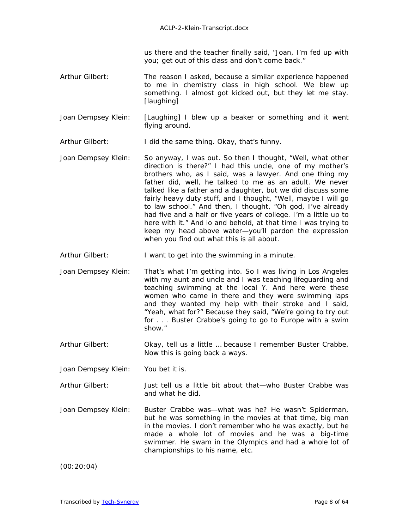us there and the teacher finally said, "Joan, I'm fed up with you; get out of this class and don't come back."

- Arthur Gilbert: The reason I asked, because a similar experience happened to me in chemistry class in high school. We blew up something. I almost got kicked out, but they let me stay. *[laughing]*
- Joan Dempsey Klein: *[Laughing]* I blew up a beaker or something and it went flying around.
- Arthur Gilbert: I did the same thing. Okay, that's funny.
- Joan Dempsey Klein: So anyway, I was out. So then I thought, "Well, what other direction is there?" I had this uncle, one of my mother's brothers who, as I said, was a lawyer. And one thing my father did, well, he talked to me as an adult. We never talked like a father and a daughter, but we did discuss some fairly heavy duty stuff, and I thought, "Well, maybe I will go to law school." And then, I thought, "Oh god, I've already had five and a half or five years of college. I'm a little up to here with it." And lo and behold, at that time I was trying to keep my head above water—you'll pardon the expression when you find out what this is all about.
- Arthur Gilbert: I want to get into the swimming in a minute.
- Joan Dempsey Klein: That's what I'm getting into. So I was living in Los Angeles with my aunt and uncle and I was teaching lifeguarding and teaching swimming at the local Y. And here were these women who came in there and they were swimming laps and they wanted my help with their stroke and I said, "Yeah, what for?" Because they said, "We're going to try out for . . . Buster Crabbe's going to go to Europe with a swim show."
- Arthur Gilbert: Okay, tell us a little … because I remember Buster Crabbe. Now this is going back a ways.
- Joan Dempsey Klein: You bet it is.
- Arthur Gilbert: Just tell us a little bit about that—who Buster Crabbe was and what he did.
- Joan Dempsey Klein: Buster Crabbe was—what was he? He wasn't Spiderman, but he was something in the movies at that time, big man in the movies. I don't remember who he was exactly, but he made a whole lot of movies and he was a big-time swimmer. He swam in the Olympics and had a whole lot of championships to his name, etc.

(00:20:04)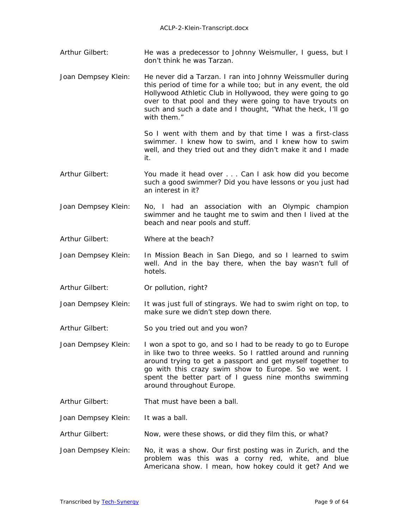- Arthur Gilbert: He was a predecessor to Johnny Weismuller, I guess, but I don't think he was Tarzan.
- Joan Dempsey Klein: He never did a *Tarzan.* I ran into Johnny Weissmuller during this period of time for a while too; but in any event, the old Hollywood Athletic Club in Hollywood, they were going to go over to that pool and they were going to have tryouts on such and such a date and I thought, "What the heck, I'll go with them."

So I went with them and by that time I was a first-class swimmer. I knew how to swim, and I knew how to swim well, and they tried out and they didn't make it and I made it.

- Arthur Gilbert: You made it head over . . . Can I ask how did you become such a good swimmer? Did you have lessons or you just had an interest in it?
- Joan Dempsey Klein: No, I had an association with an Olympic champion swimmer and he taught me to swim and then I lived at the beach and near pools and stuff.
- Arthur Gilbert: Where at the beach?
- Joan Dempsey Klein: In Mission Beach in San Diego, and so I learned to swim well. And in the bay there, when the bay wasn't full of hotels.
- Arthur Gilbert: Or pollution, right?
- Joan Dempsey Klein: It was just full of stingrays. We had to swim right on top, to make sure we didn't step down there.
- Arthur Gilbert: So you tried out and you won?
- Joan Dempsey Klein: I won a spot to go, and so I had to be ready to go to Europe in like two to three weeks. So I rattled around and running around trying to get a passport and get myself together to go with this crazy swim show to Europe. So we went. I spent the better part of I guess nine months swimming around throughout Europe.
- Arthur Gilbert: That must have been a ball.
- Joan Dempsey Klein: It was a ball.
- Arthur Gilbert: Now, were these shows, or did they film this, or what?
- Joan Dempsey Klein: No, it was a show. Our first posting was in Zurich, and the problem was this was a corny red, white, and blue Americana show. I mean, how hokey could it get? And we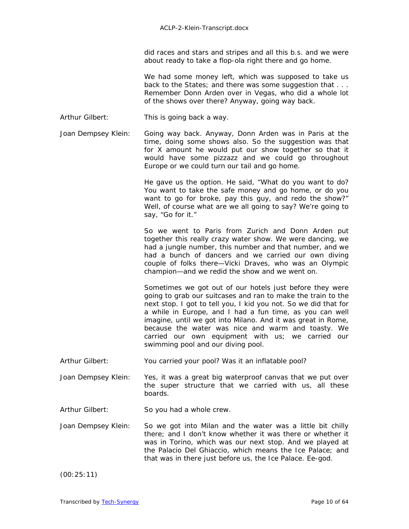did races and stars and stripes and all this b.s. and we were about ready to take a flop-ola right there and go home.

We had some money left, which was supposed to take us back to the States; and there was some suggestion that ... Remember Donn Arden over in Vegas, who did a whole lot of the shows over there? Anyway, going way back.

- Arthur Gilbert: This is going back a way.
- Joan Dempsey Klein: Going way back. Anyway, Donn Arden was in Paris at the time, doing some shows also. So the suggestion was that for X amount he would put our show together so that it would have some pizzazz and we could go throughout Europe or we could turn our tail and go home.

He gave us the option. He said, "What do you want to do? You want to take the safe money and go home, or do you want to go for broke, pay this guy, and redo the show?" Well, of course what are we all going to say? We're going to say, "Go for it."

 So we went to Paris from Zurich and Donn Arden put together this really crazy water show. We were dancing, we had a jungle number, this number and that number, and we had a bunch of dancers and we carried our own diving couple of folks there—Vicki Draves, who was an Olympic champion—and we redid the show and we went on.

Sometimes we got out of our hotels just before they were going to grab our suitcases and ran to make the train to the next stop. I got to tell you, I kid you not. So we did that for a while in Europe, and I had a fun time, as you can well imagine, until we got into Milano. And it was great in Rome, because the water was nice and warm and toasty. We carried our own equipment with us; we carried our swimming pool and our diving pool.

- Arthur Gilbert: You carried your pool? Was it an inflatable pool?
- Joan Dempsey Klein: Yes, it was a great big waterproof canvas that we put over the super structure that we carried with us, all these boards.
- Arthur Gilbert: So you had a whole crew.
- Joan Dempsey Klein: So we got into Milan and the water was a little bit chilly there; and I don't know whether it was there or whether it was in Torino, which was our next stop. And we played at the Palacio Del Ghiaccio, which means the Ice Palace; and that was in there just before us, the Ice Palace. Ee-god.

(00:25:11)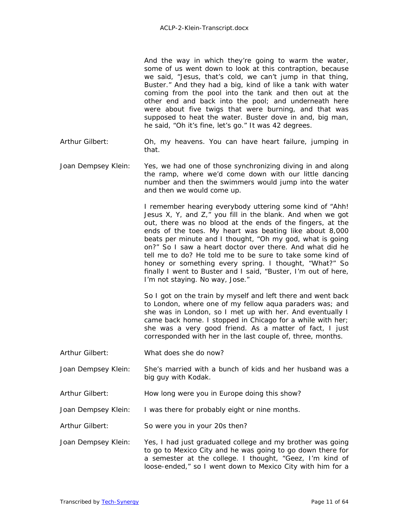And the way in which they're going to warm the water, some of us went down to look at this contraption, because we said, "Jesus, that's cold, we can't jump in that thing, Buster." And they had a big, kind of like a tank with water coming from the pool into the tank and then out at the other end and back into the pool; and underneath here were about five twigs that were burning, and that was supposed to heat the water. Buster dove in and, big man, he said, "Oh it's fine, let's go." It was 42 degrees.

- Arthur Gilbert: Oh, my heavens. You can have heart failure, jumping in that.
- Joan Dempsey Klein: Yes, we had one of those synchronizing diving in and along the ramp, where we'd come down with our little dancing number and then the swimmers would jump into the water and then we would come up.

I remember hearing everybody uttering some kind of "Ahh! Jesus  $X$ ,  $Y$ , and  $Z$ ," you fill in the blank. And when we got out, there was no blood at the ends of the fingers, at the ends of the toes. My heart was beating like about 8,000 beats per minute and I thought, "Oh my god, what is going on?" So I saw a heart doctor over there. And what did he tell me to do? He told me to be sure to take some kind of honey or something every spring. I thought, "What?" So finally I went to Buster and I said, "Buster, I'm out of here, I'm not staying. No way, Jose."

So I got on the train by myself and left there and went back to London, where one of my fellow aqua paraders was; and she was in London, so I met up with her. And eventually I came back home. I stopped in Chicago for a while with her; she was a very good friend. As a matter of fact, I just corresponded with her in the last couple of, three, months.

- Arthur Gilbert: What does she do now?
- Joan Dempsey Klein: She's married with a bunch of kids and her husband was a big guy with Kodak.
- Arthur Gilbert: How long were you in Europe doing this show?
- Joan Dempsey Klein: I was there for probably eight or nine months.
- Arthur Gilbert: So were you in your 20s then?
- Joan Dempsey Klein: Yes, I had just graduated college and my brother was going to go to Mexico City and he was going to go down there for a semester at the college. I thought, "Geez, I'm kind of loose-ended," so I went down to Mexico City with him for a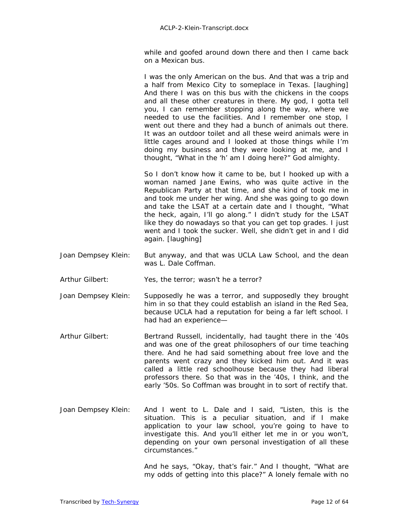while and goofed around down there and then I came back on a Mexican bus.

 I was the only American on the bus. And that was a trip and a half from Mexico City to someplace in Texas. *[laughing]* And there I was on this bus with the chickens in the coops and all these other creatures in there. My god, I gotta tell you, I can remember stopping along the way, where we needed to use the facilities. And I remember one stop, I went out there and they had a bunch of animals out there. It was an outdoor toilet and all these weird animals were in little cages around and I looked at those things while I'm doing my business and they were looking at me, and I thought, "What in the 'h' am I doing here?" God almighty.

So I don't know how it came to be, but I hooked up with a woman named Jane Ewins, who was quite active in the Republican Party at that time, and she kind of took me in and took me under her wing. And she was going to go down and take the LSAT at a certain date and I thought, "What the heck, again, I'll go along." I didn't study for the LSAT like they do nowadays so that you can get top grades. I just went and I took the sucker. Well, she didn't get in and I did again. *[laughing]* 

- Joan Dempsey Klein: But anyway, and that was UCLA Law School, and the dean was L. Dale Coffman.
- Arthur Gilbert: Yes, the terror; wasn't he a terror?
- Joan Dempsey Klein: Supposedly he was a terror, and supposedly they brought him in so that they could establish an island in the Red Sea, because UCLA had a reputation for being a far left school. I had had an experience—
- Arthur Gilbert: Bertrand Russell, incidentally, had taught there in the '40s and was one of the great philosophers of our time teaching there. And he had said something about free love and the parents went crazy and they kicked him out. And it was called a little red schoolhouse because they had liberal professors there. So that was in the '40s, I think, and the early '50s. So Coffman was brought in to sort of rectify that.
- Joan Dempsey Klein: And I went to L. Dale and I said, "Listen, this is the situation. This is a peculiar situation, and if I make application to your law school, you're going to have to investigate this. And you'll either let me in or you won't, depending on your own personal investigation of all these circumstances."

And he says, "Okay, that's fair." And I thought, "What are my odds of getting into this place?" A lonely female with no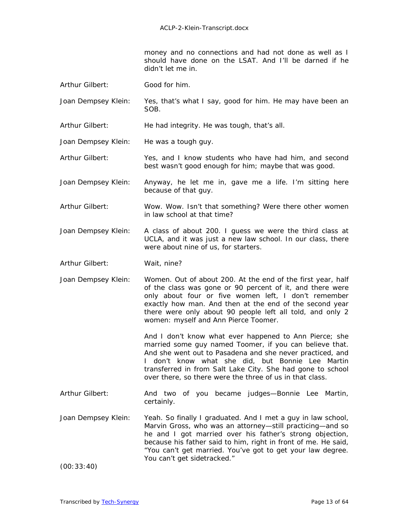money and no connections and had not done as well as I should have done on the LSAT. And I'll be darned if he didn't let me in.

- Arthur Gilbert: Good for him.
- Joan Dempsey Klein: Yes, that's what I say, good for him. He may have been an SOB.
- Arthur Gilbert: He had integrity. He was tough, that's all.
- Joan Dempsey Klein: He was a tough guy.
- Arthur Gilbert: Yes, and I know students who have had him, and second best wasn't good enough for him; maybe that was good.
- Joan Dempsey Klein: Anyway, he let me in, gave me a life. I'm sitting here because of that guy.
- Arthur Gilbert: Wow. Wow. Isn't that something? Were there other women in law school at that time?
- Joan Dempsey Klein: A class of about 200. I guess we were the third class at UCLA, and it was just a new law school. In our class, there were about nine of us, for starters.
- Arthur Gilbert: Wait, nine?
- Joan Dempsey Klein: Women. Out of about 200. At the end of the first year, half of the class was gone or 90 percent of it, and there were only about four or five women left, I don't remember exactly how man. And then at the end of the second year there were only about 90 people left all told, and only 2 women: myself and Ann Pierce Toomer.

And I don't know what ever happened to Ann Pierce; she married some guy named Toomer, if you can believe that. And she went out to Pasadena and she never practiced, and I don't know what she did, but Bonnie Lee Martin transferred in from Salt Lake City. She had gone to school over there, so there were the three of us in that class.

- Arthur Gilbert: And two of you became judges—Bonnie Lee Martin, certainly.
- Joan Dempsey Klein: Yeah. So finally I graduated. And I met a guy in law school, Marvin Gross, who was an attorney—still practicing—and so he and I got married over his father's strong objection, because his father said to him, right in front of me. He said, "You can't get married. You've got to get your law degree. You can't get sidetracked."

(00:33:40)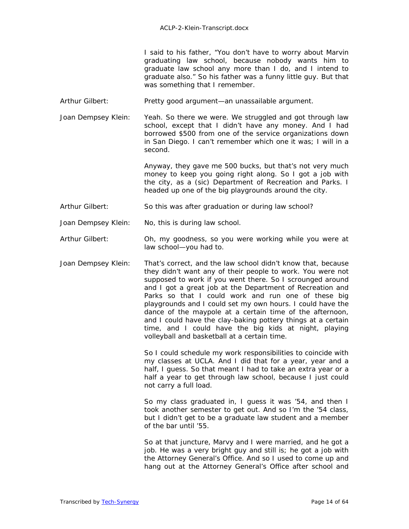I said to his father, "You don't have to worry about Marvin graduating law school, because nobody wants him to graduate law school any more than I do, and I intend to graduate also." So his father was a funny little guy. But that was something that I remember.

- Arthur Gilbert: Pretty good argument—an unassailable argument.
- Joan Dempsey Klein: Yeah. So there we were. We struggled and got through law school, except that I didn't have any money. And I had borrowed \$500 from one of the service organizations down in San Diego. I can't remember which one it was; I will in a second.

Anyway, they gave me 500 bucks, but that's not very much money to keep you going right along. So I got a job with the city, as a (*sic*) Department of Recreation and Parks. I headed up one of the big playgrounds around the city.

- Arthur Gilbert: So this was after graduation or during law school?
- Joan Dempsey Klein: No, this is during law school.
- Arthur Gilbert: Oh, my goodness, so you were working while you were at law school—you had to.
- Joan Dempsey Klein: That's correct, and the law school didn't know that, because they didn't want any of their people to work. You were not supposed to work if you went there. So I scrounged around and I got a great job at the Department of Recreation and Parks so that I could work and run one of these big playgrounds and I could set my own hours. I could have the dance of the maypole at a certain time of the afternoon, and I could have the clay-baking pottery things at a certain time, and I could have the big kids at night, playing volleyball and basketball at a certain time.

So I could schedule my work responsibilities to coincide with my classes at UCLA. And I did that for a year, year and a half, I guess. So that meant I had to take an extra year or a half a year to get through law school, because I just could not carry a full load.

 So my class graduated in, I guess it was '54, and then I took another semester to get out. And so I'm the '54 class, but I didn't get to be a graduate law student and a member of the bar until '55.

So at that juncture, Marvy and I were married, and he got a job. He was a very bright guy and still is; he got a job with the Attorney General's Office. And so I used to come up and hang out at the Attorney General's Office after school and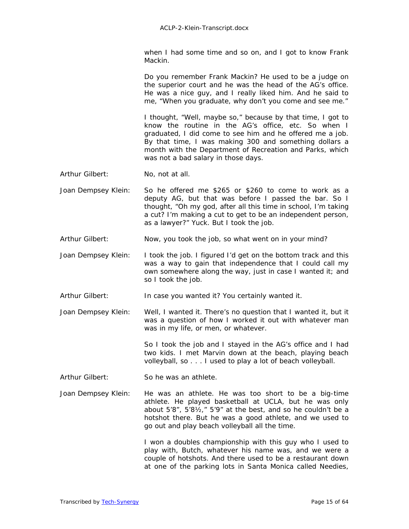when I had some time and so on, and I got to know Frank Mackin.

Do you remember Frank Mackin? He used to be a judge on the superior court and he was the head of the AG's office. He was a nice guy, and I really liked him. And he said to me, "When you graduate, why don't you come and see me."

I thought, "Well, maybe so," because by that time, I got to know the routine in the AG's office, etc. So when I graduated, I did come to see him and he offered me a job. By that time, I was making 300 and something dollars a month with the Department of Recreation and Parks, which was not a bad salary in those days.

- Arthur Gilbert: No, not at all.
- Joan Dempsey Klein: So he offered me \$265 or \$260 to come to work as a deputy AG, but that was before I passed the bar. So I thought, "Oh my god, after all this time in school, I'm taking a cut? I'm making a cut to get to be an independent person, as a lawyer?" Yuck. But I took the job.
- Arthur Gilbert: Now, you took the job, so what went on in your mind?
- Joan Dempsey Klein: I took the job. I figured I'd get on the bottom track and this was a way to gain that independence that I could call my own somewhere along the way, just in case I wanted it; and so I took the job.
- Arthur Gilbert: **In case you wanted it? You certainly wanted it.**
- Joan Dempsey Klein: Well, I wanted it. There's no question that I wanted it, but it was a question of how I worked it out with whatever man was in my life, or men, or whatever.

So I took the job and I stayed in the AG's office and I had two kids. I met Marvin down at the beach, playing beach volleyball, so . . . I used to play a lot of beach volleyball.

- Arthur Gilbert: So he was an athlete.
- Joan Dempsey Klein: He was an athlete. He was too short to be a big-time athlete. He played basketball at UCLA, but he was only about 5'8", 5'8½," 5'9" at the best, and so he couldn't be a hotshot there. But he was a good athlete, and we used to go out and play beach volleyball all the time.

I won a doubles championship with this guy who I used to play with, Butch, whatever his name was, and we were a couple of hotshots. And there used to be a restaurant down at one of the parking lots in Santa Monica called Needies,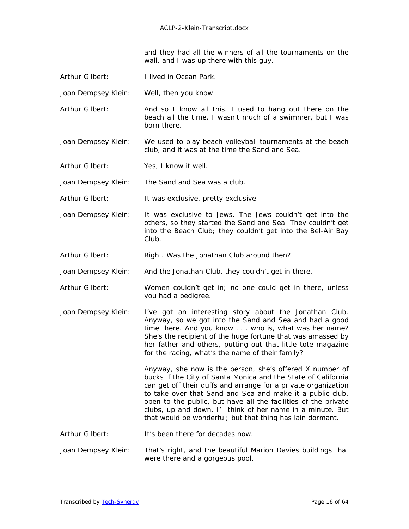and they had all the winners of all the tournaments on the wall, and I was up there with this guy.

- Arthur Gilbert: I lived in Ocean Park.
- Joan Dempsey Klein: Well, then you know.
- Arthur Gilbert: And so I know all this. I used to hang out there on the beach all the time. I wasn't much of a swimmer, but I was born there.
- Joan Dempsey Klein: We used to play beach volleyball tournaments at the beach club, and it was at the time the Sand and Sea.
- Arthur Gilbert: Yes, I know it well.

Joan Dempsey Klein: The Sand and Sea was a club.

Arthur Gilbert: It was exclusive, pretty exclusive.

- Joan Dempsey Klein: It was exclusive to Jews. The Jews couldn't get into the others, so they started the Sand and Sea. They couldn't get into *the* Beach Club; they couldn't get into the Bel-Air Bay Club.
- Arthur Gilbert: Right. Was the Jonathan Club around then?
- Joan Dempsey Klein: And the Jonathan Club, they couldn't get in there.
- Arthur Gilbert: Women couldn't get in; no one could get in there, unless you had a pedigree.
- Joan Dempsey Klein: I've got an interesting story about the Jonathan Club. Anyway, so we got into the Sand and Sea and had a good time there. And you know . . . who is, what was her name? She's the recipient of the huge fortune that was amassed by her father and others, putting out that little tote magazine for the racing, what's the name of their family?

Anyway, she now is the person, she's offered X number of bucks if the City of Santa Monica and the State of California can get off their duffs and arrange for a private organization to take over that Sand and Sea and make it a public club, open to the public, but have all the facilities of the private clubs, up and down. I'll think of her name in a minute. But that would be wonderful; but that thing has lain dormant.

- Arthur Gilbert: It's been there for decades now.
- Joan Dempsey Klein: That's right, and the beautiful Marion Davies buildings that were there and a gorgeous pool.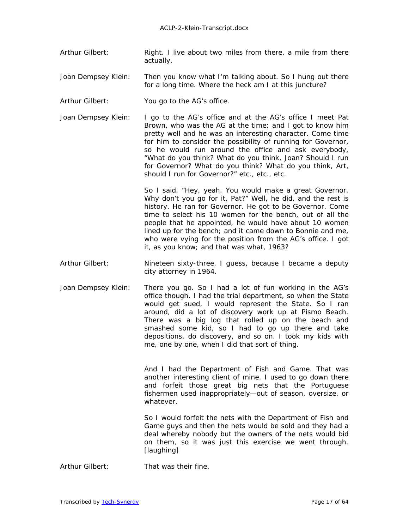Arthur Gilbert: Right. I live about two miles from there, a mile from there actually.

Joan Dempsey Klein: Then you know what I'm talking about. So I hung out there for a long time. Where the heck am I at this juncture?

Arthur Gilbert: You go to the AG's office.

Joan Dempsey Klein: I go to the AG's office and at the AG's office I meet Pat Brown, who was the AG at the time; and I got to know him pretty well and he was an interesting character. Come time for him to consider the possibility of running for Governor, so he would run around the office and ask everybody, "What do you think? What do you think, Joan? Should I run for Governor? What do you think? What do you think, Art, should I run for Governor?" etc., etc., etc.

> So I said, "Hey, yeah. You would make a great Governor. Why don't you go for it, Pat?" Well, he did, and the rest is history. He ran for Governor. He got to be Governor. Come time to select his 10 women for the bench, out of all the people that he appointed, he would have about 10 women lined up for the bench; and it came down to Bonnie and me, who were vying for the position from the AG's office. I got it, as you know; and that was what, 1963?

- Arthur Gilbert: Nineteen sixty-three, I guess, because I became a deputy city attorney in 1964.
- Joan Dempsey Klein: There you go. So I had a lot of fun working in the AG's office though. I had the trial department, so when the State would get sued, I would represent the State. So I ran around, did a lot of discovery work up at Pismo Beach. There was a big log that rolled up on the beach and smashed some kid, so I had to go up there and take depositions, do discovery, and so on. I took my kids with me, one by one, when I did that sort of thing.

 And I had the Department of Fish and Game. That was another interesting client of mine. I used to go down there and forfeit those great big nets that the Portuguese fishermen used inappropriately—out of season, oversize, or whatever.

So I would forfeit the nets with the Department of Fish and Game guys and then the nets would be sold and they had a deal whereby nobody but the owners of the nets would bid on them, so it was just this exercise we went through. *[laughing]* 

Arthur Gilbert: That was their fine.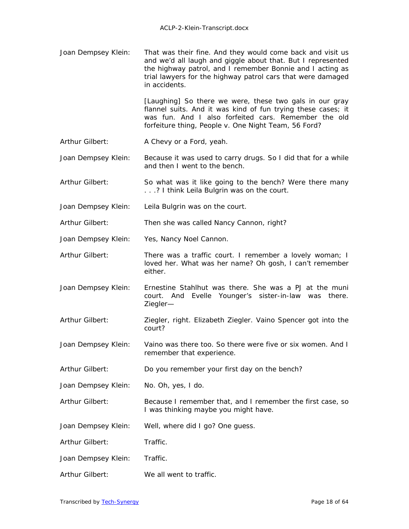Joan Dempsey Klein: That was their fine. And they would come back and visit us and we'd all laugh and giggle about that. But I represented the highway patrol, and I remember Bonnie and I acting as trial lawyers for the highway patrol cars that were damaged in accidents.

> [Laughing] So there we were, these two gals in our gray flannel suits. And it was kind of fun trying these cases; it was fun. And I also forfeited cars. Remember the old forfeiture thing, *People v. One Night Team,* 56 Ford?

- Arthur Gilbert: A Chevy or a Ford, yeah.
- Joan Dempsey Klein: Because it was used to carry drugs. So I did that for a while and then I went to the bench.
- Arthur Gilbert: So what was it like going to the bench? Were there many . . .? I think Leila Bulgrin was on the court.
- Joan Dempsey Klein: Leila Bulgrin was on the court.

Arthur Gilbert: Then she was called Nancy Cannon, right?

- Joan Dempsey Klein: Yes, Nancy Noel Cannon.
- Arthur Gilbert: There was a traffic court. I remember a lovely woman; I loved her. What was her name? Oh gosh, I can't remember either.
- Joan Dempsey Klein: Ernestine Stahlhut was there. She was a PJ at the muni court. And Evelle Younger's sister-in-law was there. Ziegler—
- Arthur Gilbert: Ziegler, right. Elizabeth Ziegler. Vaino Spencer got into the court?
- Joan Dempsey Klein: Vaino was there too. So there were five or six women. And I remember that experience.
- Arthur Gilbert: Do you remember your first day on the bench?
- Joan Dempsey Klein: No. Oh, yes, I do.
- Arthur Gilbert: Because I remember that, and I remember the first case, so I was thinking maybe you might have.
- Joan Dempsey Klein: Well, where did I go? One guess.
- Arthur Gilbert: Traffic.
- Joan Dempsey Klein: Traffic.
- Arthur Gilbert: We all went to traffic.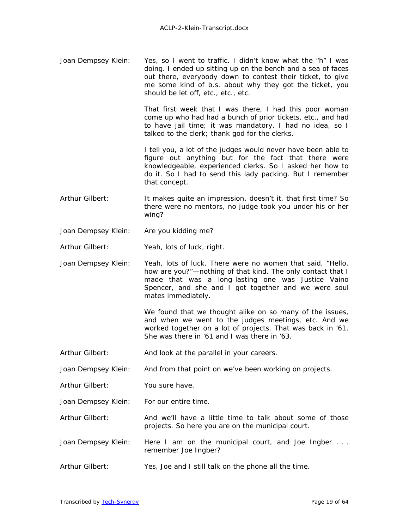Joan Dempsey Klein: Yes, so I went to traffic. I didn't know what the "h" I was doing. I ended up sitting up on the bench and a sea of faces out there, everybody down to contest their ticket, to give me some kind of b.s. about why they got the ticket, you should be let off, etc., etc., etc.

> That first week that I was there, I had this poor woman come up who had had a bunch of prior tickets, etc., and had to have jail time; it was mandatory. I had no idea, so I talked to the clerk; thank god for the clerks.

> I tell you, a lot of the judges would never have been able to figure out anything but for the fact that there were knowledgeable, experienced clerks. So I asked her how to do it. So I had to send this lady packing. But I remember that concept.

- Arthur Gilbert: It makes quite an impression, doesn't it, that first time? So there were no mentors, no judge took you under his or her wing?
- Joan Dempsey Klein: Are you kidding me?
- Arthur Gilbert: Yeah, lots of luck, right.
- Joan Dempsey Klein: Yeah, lots of luck. There were no women that said, "Hello, how are you?"—nothing of that kind. The only contact that I made that was a long-lasting one was Justice Vaino Spencer, and she and I got together and we were soul mates immediately.

We found that we thought alike on so many of the issues, and when we went to the judges meetings, etc. And we worked together on a lot of projects. That was back in '61. She was there in '61 and I was there in '63.

- Arthur Gilbert: And look at the parallel in your careers.
- Joan Dempsey Klein: And from that point on we've been working on projects.
- Arthur Gilbert: You sure have.
- Joan Dempsey Klein: For our entire time.
- Arthur Gilbert: And we'll have a little time to talk about some of those projects. So here you are on the municipal court.
- Joan Dempsey Klein: Here I am on the municipal court, and Joe Ingber . . . remember Joe Ingber?
- Arthur Gilbert: Yes, Joe and I still talk on the phone all the time.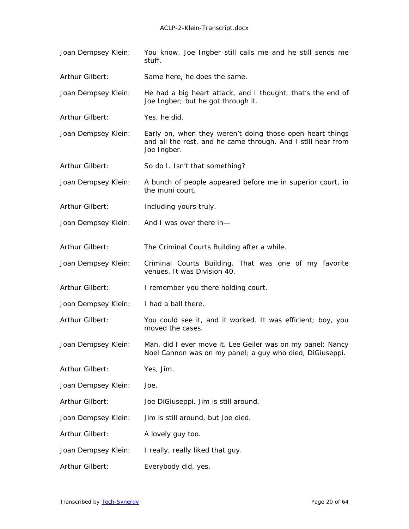Joan Dempsey Klein: You know, Joe Ingber still calls me and he still sends me stuff. Arthur Gilbert: Same here, he does the same. Joan Dempsey Klein: He had a big heart attack, and I thought, that's the end of Joe Ingber; but he got through it. Arthur Gilbert: Yes, he did. Joan Dempsey Klein: Early on, when they weren't doing those open-heart things and all the rest, and he came through. And I still hear from Joe Ingber. Arthur Gilbert: So do I. Isn't that something? Joan Dempsey Klein: A bunch of people appeared before me in superior court, in the muni court. Arthur Gilbert: Including yours truly. Joan Dempsey Klein: And I was over there in— Arthur Gilbert: The Criminal Courts Building after a while. Joan Dempsey Klein: Criminal Courts Building. That was one of my favorite venues. It was Division 40. Arthur Gilbert: I remember you there holding court. Joan Dempsey Klein: I had a ball there. Arthur Gilbert: You could see it, and it worked. It was efficient; boy, you moved the cases. Joan Dempsey Klein: Man, did I ever move it. Lee Geiler was on my panel; Nancy Noel Cannon was on my panel; a guy who died, DiGiuseppi. Arthur Gilbert: Yes, Jim. Joan Dempsey Klein: Joe. Arthur Gilbert: Joe DiGiuseppi. Jim is still around. Joan Dempsey Klein: Jim is still around, but Joe died. Arthur Gilbert: A lovely guy too. Joan Dempsey Klein: I really, really liked that guy. Arthur Gilbert: Everybody did, yes.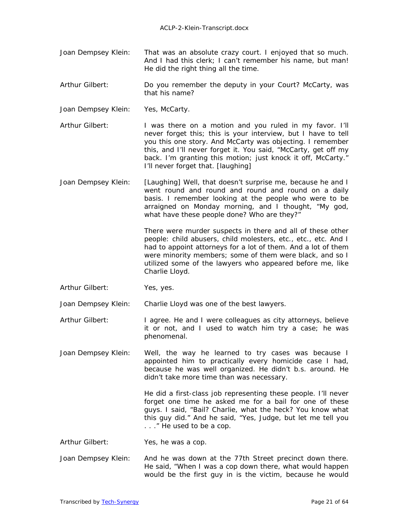- Joan Dempsey Klein: That was an absolute crazy court. I enjoyed that so much. And I had this clerk; I can't remember his name, but man! He did the right thing all the time.
- Arthur Gilbert: Do you remember the deputy in your Court? McCarty, was that his name?
- Joan Dempsey Klein: Yes, McCarty.
- Arthur Gilbert: I was there on a motion and you ruled in my favor. I'll never forget this; this is your interview, but I have to tell you this one story. And McCarty was objecting. I remember this, and I'll never forget it. You said, "McCarty, get off my back. I'm granting this motion; just knock it off, McCarty." I'll never forget that. *[laughing]*
- Joan Dempsey Klein: *[Laughing]* Well, that doesn't surprise me, because he and I went round and round and round and round on a daily basis. I remember looking at the people who were to be arraigned on Monday morning, and I thought, "My god, what have these people done? Who are they?"

There were murder suspects in there and all of these other people: child abusers, child molesters, etc., etc., etc. And I had to appoint attorneys for a lot of them. And a lot of them were minority members; some of them were black, and so I utilized some of the lawyers who appeared before me, like Charlie Lloyd.

Arthur Gilbert: Yes, yes.

Joan Dempsey Klein: Charlie Lloyd was one of the best lawyers.

- Arthur Gilbert: I agree. He and I were colleagues as city attorneys, believe it or not, and I used to watch him try a case; he was phenomenal.
- Joan Dempsey Klein: Well, the way he learned to try cases was because I appointed him to practically every homicide case I had, because he was well organized. He didn't b.s. around. He didn't take more time than was necessary.

He did a first-class job representing these people. I'll never forget one time he asked me for a bail for one of these guys. I said, "Bail? Charlie, what the heck? You know what this guy did." And he said, "Yes, Judge, but let me tell you . . ." He used to be a cop.

- Arthur Gilbert: Yes, he was a cop.
- Joan Dempsey Klein: And he was down at the 77th Street precinct down there. He said, "When I was a cop down there, what would happen would be the first guy in is the victim, because he would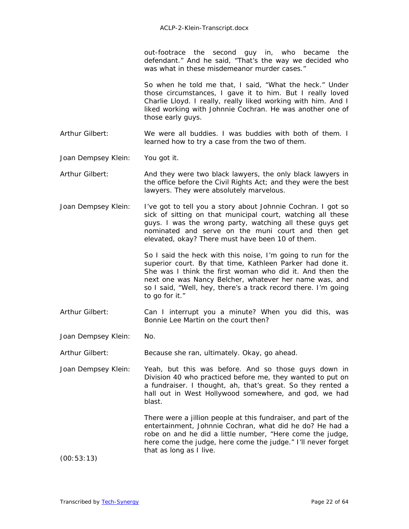out-footrace the second guy in, who became the defendant." And he said, "That's the way we decided who was what in these misdemeanor murder cases."

So when he told me that, I said, "What the heck." Under those circumstances, I gave it to him. But I really loved Charlie Lloyd. I really, really liked working with him. And I liked working with Johnnie Cochran. He was another one of those early guys.

Arthur Gilbert: We were all buddies. I was buddies with both of them. I learned how to try a case from the two of them.

Joan Dempsey Klein: You got it.

Arthur Gilbert: And they were two black lawyers, the only black lawyers in the office before the Civil Rights Act; and they were the best lawyers. They were absolutely marvelous.

Joan Dempsey Klein: I've got to tell you a story about Johnnie Cochran. I got so sick of sitting on that municipal court, watching all these guys. I was the wrong party, watching all these guys get nominated and serve on the muni court and then get elevated, okay? There must have been 10 of them.

> So I said the heck with this noise, I'm going to run for the superior court. By that time, Kathleen Parker had done it. She was I think the first woman who did it. And then the next one was Nancy Belcher, whatever her name was, and so I said, "Well, hey, there's a track record there. I'm going to go for it."

Arthur Gilbert: Can I interrupt you a minute? When you did this, was Bonnie Lee Martin on the court then?

Joan Dempsey Klein: No.

Arthur Gilbert: Because she ran, ultimately. Okay, go ahead.

Joan Dempsey Klein: Yeah, but this was before. And so those guys down in Division 40 who practiced before me, they wanted to put on a fundraiser. I thought, ah, that's great. So they rented a hall out in West Hollywood somewhere, and god, we had blast.

> There were a jillion people at this fundraiser, and part of the entertainment, Johnnie Cochran, what did he do? He had a robe on and he did a little number, "Here come the judge, here come the judge, here come the judge." I'll never forget that as long as I live.

(00:53:13)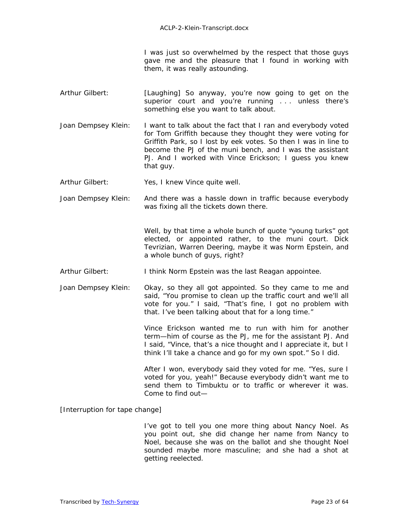I was just so overwhelmed by the respect that those guys gave me and the pleasure that I found in working with them, it was really astounding.

- Arthur Gilbert: *[Laughing]* So anyway, you're now going to get on the superior court and you're running ... unless there's something else you want to talk about.
- Joan Dempsey Klein: I want to talk about the fact that I ran and everybody voted for Tom Griffith because they thought they were voting for Griffith Park, so I lost by eek votes. So then I was in line to become the PJ of the muni bench, and I was the assistant PJ. And I worked with Vince Erickson; I guess you knew that guy.
- Arthur Gilbert: Yes, I knew Vince quite well.

Joan Dempsey Klein: And there was a hassle down in traffic because everybody was fixing all the tickets down there.

> Well, by that time a whole bunch of quote "young turks" got elected, or appointed rather, to the muni court. Dick Tevrizian, Warren Deering, maybe it was Norm Epstein, and a whole bunch of guys, right?

- Arthur Gilbert: I think Norm Epstein was the last Reagan appointee.
- Joan Dempsey Klein: Okay, so they all got appointed. So they came to me and said, "You promise to clean up the traffic court and we'll all vote for you." I said, "That's fine, I got no problem with that. I've been talking about that for a long time."

Vince Erickson wanted me to run with him for another term—him of course as the PJ, me for the assistant PJ. And I said, "Vince, that's a nice thought and I appreciate it, but I think I'll take a chance and go for my own spot." So I did.

After I won, everybody said they voted for me. "Yes, sure I voted for you, yeah!" Because everybody didn't want me to send them to Timbuktu or to traffic or wherever it was. Come to find out—

[Interruption for tape change]

 I've got to tell you one more thing about Nancy Noel. As you point out, she did change her name from Nancy to Noel, because she was on the ballot and she thought Noel sounded maybe more masculine; and she had a shot at getting reelected.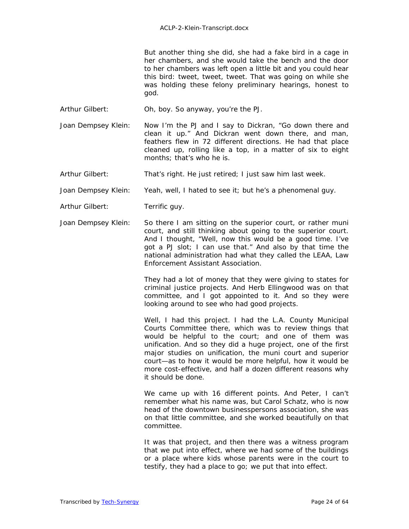But another thing she did, she had a fake bird in a cage in her chambers, and she would take the bench and the door to her chambers was left open a little bit and you could hear this bird: tweet, tweet, tweet. That was going on while she was holding these felony preliminary hearings, honest to god.

- Arthur Gilbert: Oh, boy. So anyway, you're the PJ.
- Joan Dempsey Klein: Now I'm the PJ and I say to Dickran, "Go down there and clean it up." And Dickran went down there, and man, feathers flew in 72 different directions. He had that place cleaned up, rolling like a top, in a matter of six to eight months; that's who he is.
- Arthur Gilbert: That's right. He just retired; I just saw him last week.
- Joan Dempsey Klein: Yeah, well, I hated to see it; but he's a phenomenal guy.
- Arthur Gilbert: Terrific guy.
- Joan Dempsey Klein: So there I am sitting on the superior court, or rather muni court, and still thinking about going to the superior court. And I thought, "Well, now this would be a good time. I've got a PJ slot; I can use that." And also by that time the national administration had what they called the LEAA, Law Enforcement Assistant Association.

They had a lot of money that they were giving to states for criminal justice projects. And Herb Ellingwood was on that committee, and I got appointed to it. And so they were looking around to see who had good projects.

Well, I had this project. I had the L.A. County Municipal Courts Committee there, which was to review things that would be helpful to the court; and one of them was unification. And so they did a huge project, one of the first major studies on unification, the muni court and superior court—as to how it would be more helpful, how it would be more cost-effective, and half a dozen different reasons why it should be done.

 We came up with 16 different points. And Peter, I can't remember what his name was, but Carol Schatz, who is now head of the downtown businesspersons association, she was on that little committee, and she worked beautifully on that committee.

It was that project, and then there was a witness program that we put into effect, where we had some of the buildings or a place where kids whose parents were in the court to testify, they had a place to go; we put that into effect.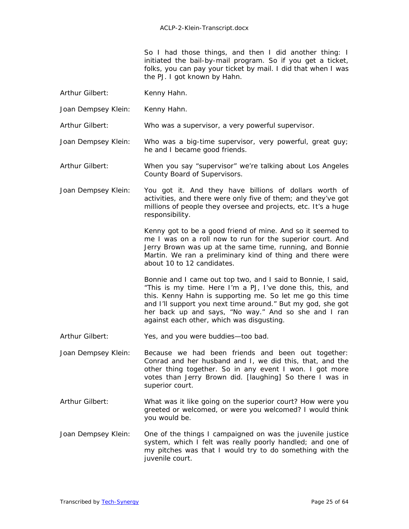So I had those things, and then I did another thing: I initiated the bail-by-mail program. So if you get a ticket, folks, you can pay your ticket by mail. I did that when I was the PJ. I got known by Hahn.

- Arthur Gilbert: Kenny Hahn.
- Joan Dempsey Klein: Kenny Hahn.

Arthur Gilbert: Who was a supervisor, a very powerful supervisor.

- Joan Dempsey Klein: Who was a big-time supervisor, very powerful, great guy; he and I became good friends.
- Arthur Gilbert: When you say "supervisor" we're talking about Los Angeles County Board of Supervisors.
- Joan Dempsey Klein: You got it. And they have billions of dollars worth of activities, and there were only five of them; and they've got millions of people they oversee and projects, etc. It's a huge responsibility.

Kenny got to be a good friend of mine. And so it seemed to me I was on a roll now to run for the superior court. And Jerry Brown was up at the same time, running, and Bonnie Martin. We ran a preliminary kind of thing and there were about 10 to 12 candidates.

Bonnie and I came out top two, and I said to Bonnie, I said, "This is my time. Here I'm a PJ, I've done this, this, and this. Kenny Hahn is supporting me. So let me go this time and I'll support you next time around." But my god, she got her back up and says, "No way." And so she and I ran against each other, which was disgusting.

Arthur Gilbert: Yes, and you were buddies—too bad.

- Joan Dempsey Klein: Because we had been friends and been out together: Conrad and her husband and I, we did this, that, and the other thing together. So in any event I won. I got more votes than Jerry Brown did. *[laughing]* So there I was in superior court.
- Arthur Gilbert: What was it like going on the superior court? How were you greeted or welcomed, or were you welcomed? I would think you would be.
- Joan Dempsey Klein: One of the things I campaigned on was the juvenile justice system, which I felt was really poorly handled; and one of my pitches was that I would try to do something with the juvenile court.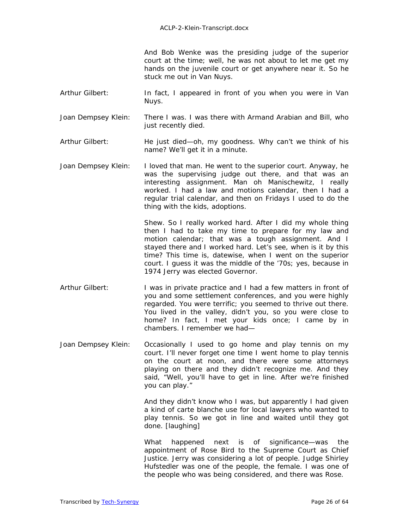And Bob Wenke was the presiding judge of the superior court at the time; well, he was not about to let me get my hands on the juvenile court or get anywhere near it. So he stuck me out in Van Nuys.

- Arthur Gilbert: In fact, I appeared in front of you when you were in Van Nuys.
- Joan Dempsey Klein: There I was. I was there with Armand Arabian and Bill, who just recently died.
- Arthur Gilbert: He just died—oh, my goodness. Why can't we think of his name? We'll get it in a minute.
- Joan Dempsey Klein: I loved that man. He went to the superior court. Anyway, he was the supervising judge out there, and that was an interesting assignment. Man oh Manischewitz, I really worked. I had a law and motions calendar, then I had a regular trial calendar, and then on Fridays I used to do the thing with the kids, adoptions.

Shew. So I really worked hard. After I did my whole thing then I had to take my time to prepare for my law and motion calendar; that was a tough assignment. And I stayed there and I worked hard. Let's see, when is it by this time? This time is, datewise, when I went on the superior court. I guess it was the middle of the '70s; yes, because in 1974 Jerry was elected Governor.

- Arthur Gilbert: I was in private practice and I had a few matters in front of you and some settlement conferences, and you were highly regarded. You were terrific; you seemed to thrive out there. You lived in the valley, didn't you, so you were close to home? In fact, I met your kids once; I came by in chambers. I remember we had—
- Joan Dempsey Klein: Occasionally I used to go home and play tennis on my court. I'll never forget one time I went home to play tennis on the court at noon, and there were some attorneys playing on there and they didn't recognize me. And they said, "Well, you'll have to get in line. After we're finished you can play."

And they didn't know who I was, but apparently I had given a kind of carte blanche use for local lawyers who wanted to play tennis. So we got in line and waited until they got done. *[laughing]*

 What happened next is of significance—was the appointment of Rose Bird to the Supreme Court as Chief Justice. Jerry was considering a lot of people. Judge Shirley Hufstedler was one of the people, the female. I was one of the people who was being considered, and there was Rose.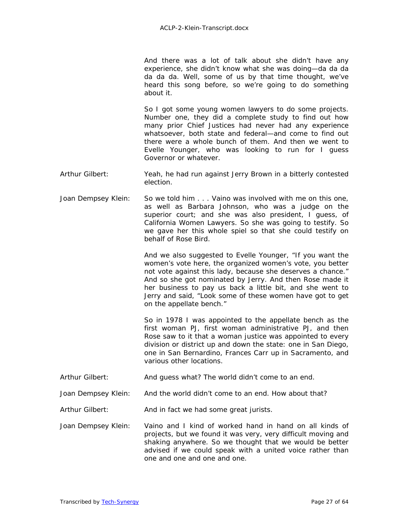And there was a lot of talk about she didn't have any experience, she didn't know what she was doing—da da da da da da. Well, some of us by that time thought, we've heard this song before, so we're going to do something about it.

 So I got some young women lawyers to do some projects. Number one, they did a complete study to find out how many prior Chief Justices had never had any experience whatsoever, both state and federal—and come to find out there were a whole bunch of them. And then we went to Evelle Younger, who was looking to run for I guess Governor or whatever.

- Arthur Gilbert: Yeah, he had run against Jerry Brown in a bitterly contested election.
- Joan Dempsey Klein: So we told him . . . Vaino was involved with me on this one, as well as Barbara Johnson, who was a judge on the superior court; and she was also president, I guess, of California Women Lawyers. So she was going to testify. So we gave her this whole spiel so that she could testify on behalf of Rose Bird.

And we also suggested to Evelle Younger, "If you want the women's vote here, the organized women's vote, you better not vote against this lady, because she deserves a chance." And so she got nominated by Jerry. And then Rose made it her business to pay us back a little bit, and she went to Jerry and said, "Look some of these women have got to get on the appellate bench."

 So in 1978 I was appointed to the appellate bench as the first woman PJ, first woman administrative PJ, and then Rose saw to it that a woman justice was appointed to every division or district up and down the state: one in San Diego, one in San Bernardino, Frances Carr up in Sacramento, and various other locations.

- Arthur Gilbert: And guess what? The world didn't come to an end.
- Joan Dempsey Klein: And the world didn't come to an end. How about that?
- Arthur Gilbert: And in fact we had some great jurists.
- Joan Dempsey Klein: Vaino and I kind of worked hand in hand on all kinds of projects, but we found it was very, very difficult moving and shaking anywhere. So we thought that we would be better advised if we could speak with a united voice rather than one and one and one and one.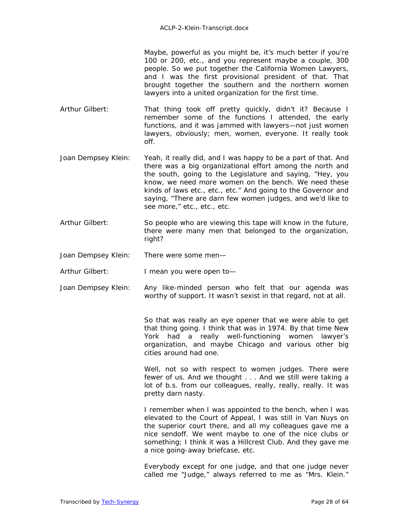Maybe, powerful as you might be, it's much better if you're 100 or 200, etc., and you represent maybe a couple, 300 people. So we put together the California Women Lawyers, and I was the first provisional president of that. That brought together the southern and the northern women lawyers into a united organization for the first time.

Arthur Gilbert: That thing took off pretty quickly, didn't it? Because I remember some of the functions I attended, the early functions, and it was jammed with lawyers—not just women lawyers, obviously; men, women, everyone. It really took off.

- Joan Dempsey Klein: Yeah, it really did, and I was happy to be a part of that. And there was a big organizational effort among the north and the south, going to the Legislature and saying, "Hey, you know, we need more women on the bench. We need these kinds of laws etc., etc., etc." And going to the Governor and saying, "There are darn few women judges, and we'd like to see more," etc., etc., etc.
- Arthur Gilbert: So people who are viewing this tape will know in the future, there were many men that belonged to the organization, right?

Joan Dempsey Klein: There were some men—

Arthur Gilbert: I mean you were open to-

Joan Dempsey Klein: Any like-minded person who felt that our agenda was worthy of support. It wasn't sexist in that regard, not at all.

> So that was really an eye opener that we were able to get that thing going. I think that was in 1974. By that time New York had a really well-functioning women lawyer's organization, and maybe Chicago and various other big cities around had one.

> Well, not so with respect to women judges. There were fewer of us. And we thought . . . And we still were taking a lot of b.s. from our colleagues, really, really, really. It was pretty darn nasty.

> I remember when I was appointed to the bench, when I was elevated to the Court of Appeal, I was still in Van Nuys on the superior court there, and all my colleagues gave me a nice sendoff. We went maybe to one of the nice clubs or something; I think it was a Hillcrest Club. And they gave me a nice going-away briefcase, etc.

> Everybody except for one judge, and that one judge never called me "Judge," always referred to me as "Mrs. Klein."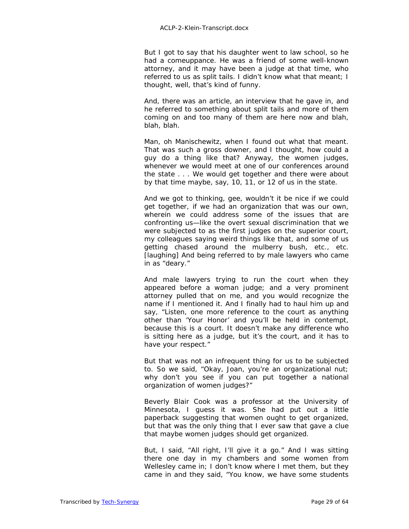But I got to say that his daughter went to law school, so he had a comeuppance. He was a friend of some well-known attorney, and it may have been a judge at that time, who referred to us as split tails. I didn't know what that meant; I thought, well, that's kind of funny.

 And, there was an article, an interview that he gave in, and he referred to something about split tails and more of them coming on and too many of them are here now and blah, blah, blah.

Man, oh Manischewitz, when I found out what that meant. That was such a gross downer, and I thought, how could a guy do a thing like that? Anyway, the women judges, whenever we would meet at one of our conferences around the state . . . We would get together and there were about by that time maybe, say, 10, 11, or 12 of us in the state.

And we got to thinking, gee, wouldn't it be nice if we could get together, if we had an organization that was our own, wherein we could address some of the issues that are confronting us—like the overt sexual discrimination that we were subjected to as the first judges on the superior court, my colleagues saying weird things like that, and some of us getting chased around the mulberry bush, etc., etc. *[laughing]* And being referred to by male lawyers who came in as "deary."

And male lawyers trying to run the court when they appeared before a woman judge; and a very prominent attorney pulled that on me, and you would recognize the name if I mentioned it. And I finally had to haul him up and say, "Listen, one more reference to the court as anything other than 'Your Honor' and you'll be held in contempt, because this is a court. It doesn't make any difference who is sitting here as a judge, but it's the court, and it has to have your respect."

But that was not an infrequent thing for us to be subjected to. So we said, "Okay, Joan, you're an organizational nut; why don't you see if you can put together a national organization of women judges?"

 Beverly Blair Cook was a professor at the University of Minnesota, I guess it was. She had put out a little paperback suggesting that women ought to get organized, but that was the only thing that I ever saw that gave a clue that maybe women judges should get organized.

But, I said, "All right, I'll give it a go." And I was sitting there one day in my chambers and some women from Wellesley came in; I don't know where I met them, but they came in and they said, "You know, we have some students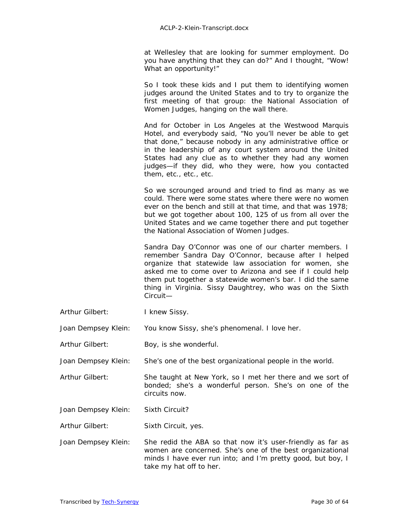at Wellesley that are looking for summer employment. Do you have anything that they can do?" And I thought, "Wow! What an opportunity!"

So I took these kids and I put them to identifying women judges around the United States and to try to organize the first meeting of that group: the National Association of Women Judges, hanging on the wall there.

And for October in Los Angeles at the Westwood Marquis Hotel, and everybody said, "No you'll never be able to get that done," because nobody in any administrative office or in the leadership of any court system around the United States had any clue as to whether they had any women judges—if they did, who they were, how you contacted them, etc., etc., etc.

So we scrounged around and tried to find as many as we could. There were some states where there were no women ever on the bench and still at that time, and that was 1978; but we got together about 100, 125 of us from all over the United States and we came together there and put together the National Association of Women Judges.

 Sandra Day O'Connor was one of our charter members. I remember Sandra Day O'Connor, because after I helped organize that statewide law association for women, she asked me to come over to Arizona and see if I could help them put together a statewide women's bar. I did the same thing in Virginia. Sissy Daughtrey, who was on the Sixth Circuit—

- Arthur Gilbert: I knew Sissy.
- Joan Dempsey Klein: You know Sissy, she's phenomenal. I love her.
- Arthur Gilbert: Boy, is she wonderful.

Joan Dempsey Klein: She's one of the best organizational people in the world.

- Arthur Gilbert: She taught at New York, so I met her there and we sort of bonded; she's a wonderful person. She's on one of the circuits now.
- Joan Dempsey Klein: Sixth Circuit?
- Arthur Gilbert: Sixth Circuit, yes.
- Joan Dempsey Klein: She redid the ABA so that now it's user-friendly as far as women are concerned. She's one of the best organizational minds I have ever run into; and I'm pretty good, but boy, I take my hat off to her.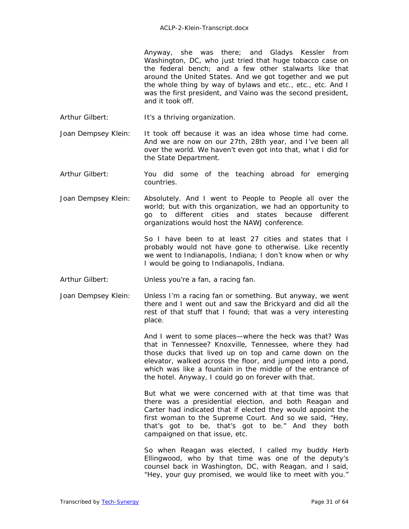Anyway, she was there; and Gladys Kessler from Washington, DC, who just tried that huge tobacco case on the federal bench; and a few other stalwarts like that around the United States. And we got together and we put the whole thing by way of bylaws and etc., etc., etc. And I was the first president, and Vaino was the second president, and it took off.

Arthur Gilbert: It's a thriving organization.

Joan Dempsey Klein: It took off because it was an idea whose time had come. And we are now on our 27th, 28th year, and I've been all over the world. We haven't even got into that, what I did for the State Department.

- Arthur Gilbert: You did some of the teaching abroad for emerging countries.
- Joan Dempsey Klein: Absolutely. And I went to People to People all over the world; but with this organization, we had an opportunity to go to different cities and states because different organizations would host the NAWJ conference.

So I have been to at least 27 cities and states that I probably would not have gone to otherwise. Like recently we went to Indianapolis, Indiana; I don't know when or why I would be going to Indianapolis, Indiana.

- Arthur Gilbert: Unless you're a fan, a racing fan.
- Joan Dempsey Klein: Unless I'm a racing fan or something. But anyway, we went there and I went out and saw the Brickyard and did all the rest of that stuff that I found; that was a very interesting place.

And I went to some places—where the heck was that? Was that in Tennessee? Knoxville, Tennessee, where they had those ducks that lived up on top and came down on the elevator, walked across the floor, and jumped into a pond, which was like a fountain in the middle of the entrance of the hotel. Anyway, I could go on forever with that.

 But what we were concerned with at that time was that there was a presidential election, and both Reagan and Carter had indicated that if elected they would appoint the first woman to the Supreme Court. And so we said, "Hey, that's got to be, that's got to be." And they both campaigned on that issue, etc.

 So when Reagan was elected, I called my buddy Herb Ellingwood, who by that time was one of the deputy's counsel back in Washington, DC, with Reagan, and I said, "Hey, your guy promised, we would like to meet with you."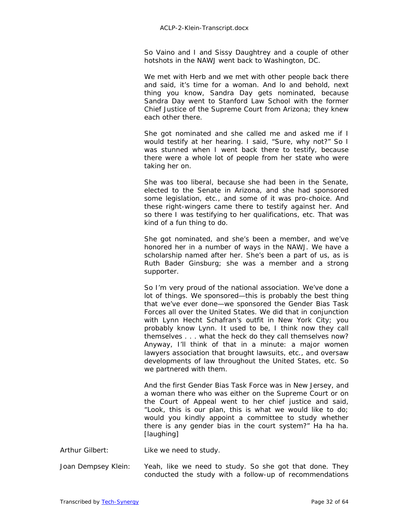So Vaino and I and Sissy Daughtrey and a couple of other hotshots in the NAWJ went back to Washington, DC.

We met with Herb and we met with other people back there and said, it's time for a woman. And lo and behold, next thing you know, Sandra Day gets nominated, because Sandra Day went to Stanford Law School with the former Chief Justice of the Supreme Court from Arizona; they knew each other there.

 She got nominated and she called me and asked me if I would testify at her hearing. I said, "Sure, why not?" So I was stunned when I went back there to testify, because there were a whole lot of people from her state who were taking her on.

She was too liberal, because she had been in the Senate, elected to the Senate in Arizona, and she had sponsored some legislation, etc., and some of it was pro-choice. And these right-wingers came there to testify against her. And so there I was testifying to her qualifications, etc. That was kind of a fun thing to do.

 She got nominated, and she's been a member, and we've honored her in a number of ways in the NAWJ. We have a scholarship named after her. She's been a part of us, as is Ruth Bader Ginsburg; she was a member and a strong supporter.

So I'm very proud of the national association. We've done a lot of things. We sponsored—this is probably the best thing that we've ever done—we sponsored the Gender Bias Task Forces all over the United States. We did that in conjunction with Lynn Hecht Schafran's outfit in New York City; you probably know Lynn. It used to be, I think now they call themselves . . . what the heck do they call themselves now? Anyway, I'll think of that in a minute: a major women lawyers association that brought lawsuits, etc., and oversaw developments of law throughout the United States, etc. So we partnered with them.

And the first Gender Bias Task Force was in New Jersey, and a woman there who was either on the Supreme Court or on the Court of Appeal went to her chief justice and said, "Look, this is our plan, this is what we would like to do; would you kindly appoint a committee to study whether there is any gender bias in the court system?" Ha ha ha. *[laughing]* 

Arthur Gilbert: Like we need to study.

Joan Dempsey Klein: Yeah, like we need to study. So she got that done. They conducted the study with a follow-up of recommendations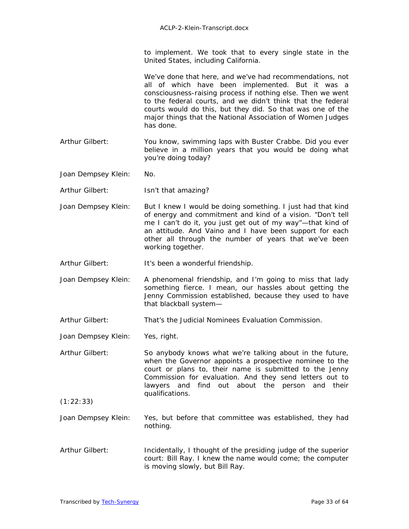to implement. We took that to every single state in the United States, including California.

We've done that here, and we've had recommendations, not all of which have been implemented. But it was a consciousness-raising process if nothing else. Then we went to the federal courts, and we didn't think that the federal courts would do this, but they did. So that was one of the major things that the National Association of Women Judges has done.

- Arthur Gilbert: You know, swimming laps with Buster Crabbe. Did you ever believe in a million years that you would be doing what you're doing today?
- Joan Dempsey Klein: No.
- Arthur Gilbert: Isn't that amazing?
- Joan Dempsey Klein: But I knew I would be doing something. I just had that kind of energy and commitment and kind of a vision. "Don't tell me I can't do it, you just get out of my way"—that kind of an attitude. And Vaino and I have been support for each other all through the number of years that we've been working together.
- Arthur Gilbert: It's been a wonderful friendship.
- Joan Dempsey Klein: A phenomenal friendship, and I'm going to miss that lady something fierce. I mean, our hassles about getting the Jenny Commission established, because they used to have that blackball system—
- Arthur Gilbert: That's the Judicial Nominees Evaluation Commission.
- Joan Dempsey Klein: Yes, right.
- Arthur Gilbert: So anybody knows what we're talking about in the future, when the Governor appoints a prospective nominee to the court or plans to, their name is submitted to the Jenny Commission for evaluation. And they send letters out to lawyers and find out about the person and their qualifications.
- $(1:22:33)$
- Joan Dempsey Klein: Yes, but before that committee was established, they had nothing.
- Arthur Gilbert: Incidentally, I thought of the presiding judge of the superior court: Bill Ray. I knew the name would come; the computer is moving slowly, but Bill Ray.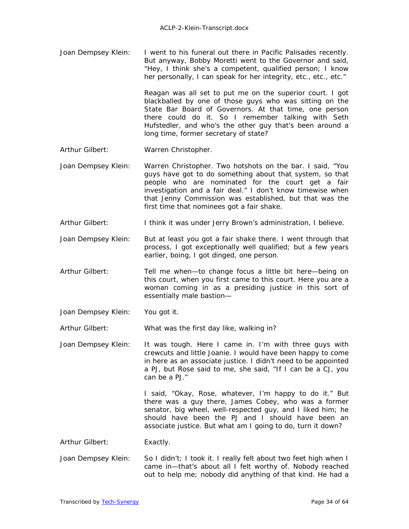Joan Dempsey Klein: I went to his funeral out there in Pacific Palisades recently. But anyway, Bobby Moretti went to the Governor and said, "Hey, I think she's a competent, qualified person; I know her personally, I can speak for her integrity, etc., etc., etc."

> Reagan was all set to put me on the superior court. I got blackballed by one of those guys who was sitting on the State Bar Board of Governors. At that time, one person there could do it. So I remember talking with Seth Hufstedler, and who's the other guy that's been around a long time, former secretary of state?

- Arthur Gilbert: Warren Christopher.
- Joan Dempsey Klein: Warren Christopher. Two hotshots on the bar. I said, "You guys have got to do something about that system, so that people who are nominated for the court get a fair investigation and a fair deal." I don't know timewise when that Jenny Commission was established, but that was the first time that nominees got a fair shake.
- Arthur Gilbert: I think it was under Jerry Brown's administration, I believe.
- Joan Dempsey Klein: But at least you got a fair shake there. I went through that process, I got exceptionally well qualified; but a few years earlier, boing, I got dinged, one person.
- Arthur Gilbert: Tell me when—to change focus a little bit here—being on this court, when you first came to this court. Here you are a woman coming in as a presiding justice in this sort of essentially male bastion—
- Joan Dempsey Klein: You got it.

Arthur Gilbert: What was the first day like, walking in?

Joan Dempsey Klein: It was tough. Here I came in. I'm with three guys with crewcuts and little Joanie. I would have been happy to come in here as an associate justice. I didn't need to be appointed a PJ, but Rose said to me, she said, "If I can be a CJ, you can be a PJ."

> I said, "Okay, Rose, whatever, I'm happy to do it." But there was a guy there, James Cobey, who was a former senator, big wheel, well-respected guy, and I liked him; he should have been the PJ and I should have been an associate justice. But what am I going to do, turn it down?

Arthur Gilbert: Exactly.

Joan Dempsey Klein: So I didn't; I took it. I really felt about two feet high when I came in—that's about all I felt worthy of. Nobody reached out to help me; nobody did anything of that kind. He had a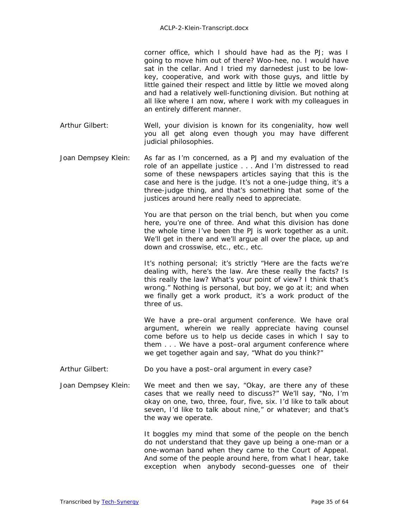corner office, which I should have had as the PJ; was I going to move him out of there? Woo-hee, no. I would have sat in the cellar. And I tried my darnedest just to be lowkey, cooperative, and work with those guys, and little by little gained their respect and little by little we moved along and had a relatively well-functioning division. But nothing at all like where I am now, where I work with my colleagues in an entirely different manner.

- Arthur Gilbert: Well, your division is known for its congeniality, how well you all get along even though you may have different judicial philosophies.
- Joan Dempsey Klein: As far as I'm concerned, as a PJ and my evaluation of the role of an appellate justice . . . And I'm distressed to read some of these newspapers articles saying that this is the case and here is the judge. It's not a one-judge thing, it's a three-judge thing, and that's something that some of the justices around here really need to appreciate.

You are that person on the trial bench, but when you come here, you're one of three. And what this division has done the whole time I've been the PJ is work together as a unit. We'll get in there and we'll argue all over the place, up and down and crosswise, etc., etc., etc.

It's nothing personal; it's strictly "Here are the facts we're dealing with, here's the law. Are these really the facts? Is this really the law? What's your point of view? I think that's wrong." Nothing is personal, but boy, we go at it; and when we finally get a work product, it's a work product of the three of us.

 We have a pre–oral argument conference. We have oral argument, wherein we really appreciate having counsel come before us to help us decide cases in which I say to them . . . We have a post–oral argument conference where we get together again and say, "What do you think?"

- Arthur Gilbert: Do you have a post–oral argument in every case?
- Joan Dempsey Klein: We meet and then we say, "Okay, are there any of these cases that we really need to discuss?" We'll say, "No, I'm okay on one, two, three, four, five, six. I'd like to talk about seven, I'd like to talk about nine," or whatever; and that's the way we operate.

It boggles my mind that some of the people on the bench do not understand that they gave up being a one-man or a one-woman band when they came to the Court of Appeal. And some of the people around here, from what I hear, take exception when anybody second-guesses one of their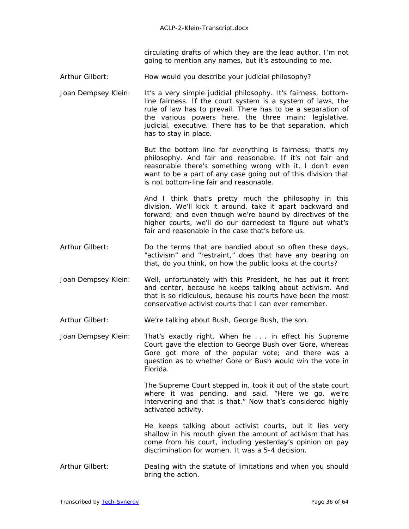circulating drafts of which they are the lead author. I'm not going to mention any names, but it's astounding to me.

Arthur Gilbert: How would you describe your judicial philosophy?

Joan Dempsey Klein: It's a very simple judicial philosophy. It's fairness, bottomline fairness. If the court system is a system of laws, the rule of law has to prevail. There has to be a separation of the various powers here, the three main: legislative, judicial, executive. There has to be that separation, which has to stay in place.

> But the bottom line for everything is fairness; that's my philosophy. And fair and reasonable. If it's not fair and reasonable there's something wrong with it. I don't even want to be a part of any case going out of this division that is not bottom-line fair and reasonable.

 And I think that's pretty much the philosophy in this division. We'll kick it around, take it apart backward and forward; and even though we're bound by directives of the higher courts, we'll do our darnedest to figure out what's fair and reasonable in the case that's before us.

- Arthur Gilbert: Do the terms that are bandied about so often these days, "activism" and "restraint," does that have any bearing on that, do you think, on how the public looks at the courts?
- Joan Dempsey Klein: Well, unfortunately with this President, he has put it front and center, because he keeps talking about activism. And that is so ridiculous, because his courts have been the most conservative activist courts that I can ever remember.
- Arthur Gilbert: We're talking about Bush, George Bush, the son.
- Joan Dempsey Klein: That's exactly right. When he . . . in effect his Supreme Court gave the election to George Bush over Gore, whereas Gore got more of the popular vote; and there was a question as to whether Gore or Bush would win the vote in Florida.

The Supreme Court stepped in, took it out of the state court where it was pending, and said, "Here we go, we're intervening and that is that." Now that's considered highly activated activity.

He keeps talking about activist courts, but it lies very shallow in his mouth given the amount of activism that has come from his court, including yesterday's opinion on pay discrimination for women. It was a 5-4 decision.

Arthur Gilbert: Dealing with the statute of limitations and when you should bring the action.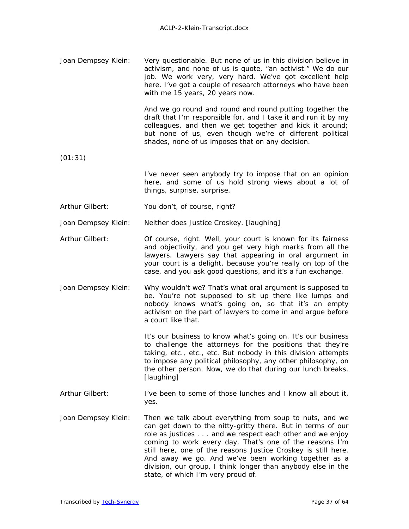| Joan Dempsey Klein: | Very questionable. But none of us in this division believe in |
|---------------------|---------------------------------------------------------------|
|                     | activism, and none of us is quote, "an activist." We do our   |
|                     | job. We work very, very hard. We've got excellent help        |
|                     | here. I've got a couple of research attorneys who have been   |
|                     | with me 15 years, 20 years now.                               |

And we go round and round and round putting together the draft that I'm responsible for, and I take it and run it by my colleagues, and then we get together and kick it around; but none of us, even though we're of different political shades, none of us imposes that on any decision.

(01:31)

- I've never seen anybody try to impose that on an opinion here, and some of us hold strong views about a lot of things, surprise, surprise.
- Arthur Gilbert: You don't, of course, right?

Joan Dempsey Klein: Neither does Justice Croskey. *[laughing]* 

- Arthur Gilbert: Of course, right. Well, your court is known for its fairness and objectivity, and you get very high marks from all the lawyers. Lawyers say that appearing in oral argument in your court is a delight, because you're really on top of the case, and you ask good questions, and it's a fun exchange.
- Joan Dempsey Klein: Why wouldn't we? That's what oral argument is supposed to be. You're not supposed to sit up there like lumps and nobody knows what's going on, so that it's an empty activism on the part of lawyers to come in and argue before a court like that.

It's our business to know what's going on. It's our business to challenge the attorneys for the positions that they're taking, etc., etc., etc. But nobody in this division attempts to impose any political philosophy, any other philosophy, on the other person. Now, we do that during our lunch breaks. *[laughing]* 

- Arthur Gilbert: I've been to some of those lunches and I know all about it, yes.
- Joan Dempsey Klein: Then we talk about everything from soup to nuts, and we can get down to the nitty-gritty there. But in terms of our role as justices . . . and we respect each other and we enjoy coming to work every day. That's one of the reasons I'm still here, one of the reasons Justice Croskey is still here. And away we go. And we've been working together as a division, our group, I think longer than anybody else in the state, of which I'm very proud of.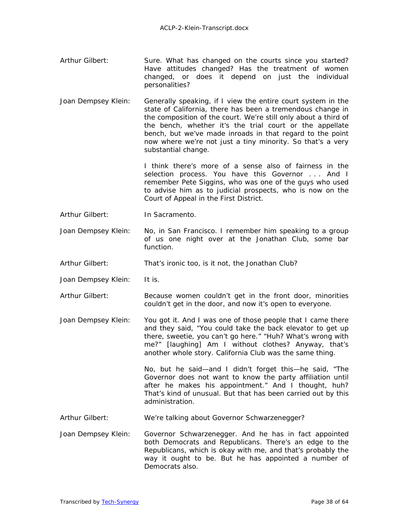- Arthur Gilbert: Sure. What has changed on the courts since you started? Have attitudes changed? Has the treatment of women changed, or does it depend on just the individual personalities?
- Joan Dempsey Klein: Generally speaking, if I view the entire court system in the state of California, there has been a tremendous change in the composition of the court. We're still only about a third of the bench, whether it's the trial court or the appellate bench, but we've made inroads in that regard to the point now where we're not just a tiny minority. So that's a very substantial change.

I think there's more of a sense also of fairness in the selection process. You have this Governor . . . And I remember Pete Siggins, who was one of the guys who used to advise him as to judicial prospects, who is now on the Court of Appeal in the First District.

Arthur Gilbert: In Sacramento.

Joan Dempsey Klein: No, in San Francisco. I remember him speaking to a group of us one night over at the Jonathan Club, some bar function.

Arthur Gilbert: That's ironic too, is it not, the Jonathan Club?

- Joan Dempsey Klein: It is.
- Arthur Gilbert: Because women couldn't get in the front door, minorities couldn't get in the door, and now it's open to everyone.
- Joan Dempsey Klein: You got it. And I was one of those people that I came there and they said, "You could take the back elevator to get up there, sweetie, you can't go here." "Huh? What's wrong with me?" *[laughing]* Am I without clothes? Anyway, that's another whole story. California Club was the same thing.

No, but he said—and I didn't forget this—he said, "The Governor does not want to know the party affiliation until after he makes his appointment." And I thought, huh? That's kind of unusual. But that has been carried out by this administration.

- Arthur Gilbert: We're talking about Governor Schwarzenegger?
- Joan Dempsey Klein: Governor Schwarzenegger. And he has in fact appointed both Democrats and Republicans. There's an edge to the Republicans, which is okay with me, and that's probably the way it ought to be. But he has appointed a number of Democrats also.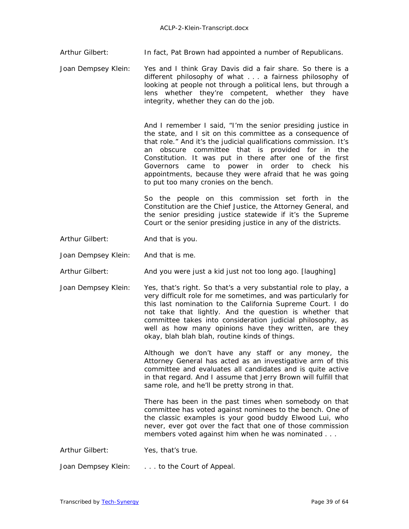Arthur Gilbert: **In fact, Pat Brown had appointed a number of Republicans.** 

Joan Dempsey Klein: Yes and I think Gray Davis did a fair share. So there is a different philosophy of what . . . a fairness philosophy of looking at people not through a political lens, but through a lens whether they're competent, whether they have integrity, whether they can do the job.

> And I remember I said, "I'm the senior presiding justice in the state, and I sit on this committee as a consequence of that role." And it's the judicial qualifications commission. It's an obscure committee that is provided for in the Constitution. It was put in there after one of the first Governors came to power in order to check his appointments, because they were afraid that he was going to put too many cronies on the bench.

> So the people on this commission set forth in the Constitution are the Chief Justice, the Attorney General, and the senior presiding justice statewide if it's the Supreme Court or the senior presiding justice in any of the districts.

Arthur Gilbert: And that is you.

Joan Dempsey Klein: And that is me.

Arthur Gilbert: And you were just a kid just not too long ago. *[laughing]* 

Joan Dempsey Klein: Yes, that's right. So that's a very substantial role to play, a very difficult role for me sometimes, and was particularly for this last nomination to the California Supreme Court. I do not take that lightly. And the question is whether that committee takes into consideration judicial philosophy, as well as how many opinions have they written, are they okay, blah blah blah, routine kinds of things.

> Although we don't have any staff or any money, the Attorney General has acted as an investigative arm of this committee and evaluates all candidates and is quite active in that regard. And I assume that Jerry Brown will fulfill that same role, and he'll be pretty strong in that.

> There has been in the past times when somebody on that committee has voted against nominees to the bench. One of the classic examples is your good buddy Elwood Lui, who never, ever got over the fact that one of those commission members voted against him when he was nominated . . .

Arthur Gilbert: Yes, that's true.

Joan Dempsey Klein: . . . to the Court of Appeal.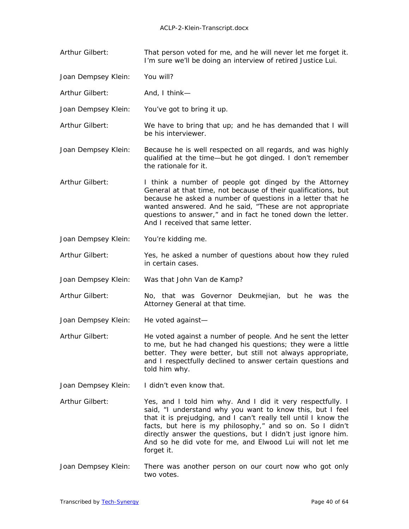- Arthur Gilbert: That person voted for me, and he will never let me forget it. I'm sure we'll be doing an interview of retired Justice Lui.
- Joan Dempsey Klein: You will?
- Arthur Gilbert: And, I think—
- Joan Dempsey Klein: You've got to bring it up.
- Arthur Gilbert: We have to bring that up; and he has demanded that I will be his interviewer.
- Joan Dempsey Klein: Because he is well respected on all regards, and was highly qualified at the time—but he got dinged. I don't remember the rationale for it.
- Arthur Gilbert: I think a number of people got dinged by the Attorney General at that time, not because of their qualifications, but because he asked a number of questions in a letter that he wanted answered. And he said, "These are not appropriate questions to answer," and in fact he toned down the letter. And I received that same letter.
- Joan Dempsey Klein: You're kidding me.
- Arthur Gilbert: Yes, he asked a number of questions about how they ruled in certain cases.
- Joan Dempsey Klein: Was that John Van de Kamp?
- Arthur Gilbert: No, that was Governor Deukmejian, but he was the Attorney General at that time.
- Joan Dempsey Klein: He voted against—
- Arthur Gilbert: He voted against a number of people. And he sent the letter to me, but he had changed his questions; they were a little better. They were better, but still not always appropriate, and I respectfully declined to answer certain questions and told him why.
- Joan Dempsey Klein: I didn't even know that.
- Arthur Gilbert: Yes, and I told him why. And I did it very respectfully. I said, "I understand why you want to know this, but I feel that it is prejudging, and I can't really tell until I know the facts, but here is my philosophy," and so on. So I didn't directly answer the questions, but I didn't just ignore him. And so he did vote for me, and Elwood Lui will not let me forget it.
- Joan Dempsey Klein: There was another person on our court now who got only two votes.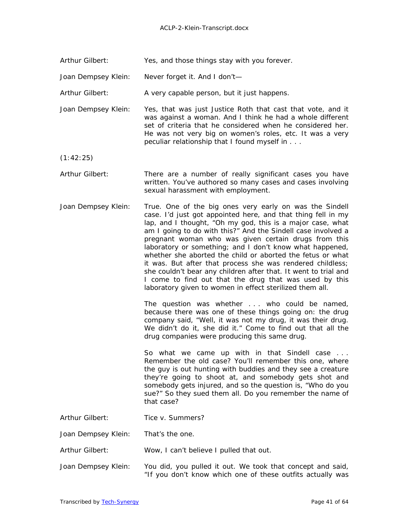Arthur Gilbert: Yes, and those things stay with you forever.

Joan Dempsey Klein: Never forget it. And I don't—

Arthur Gilbert: A very capable person, but it just happens.

Joan Dempsey Klein: Yes, that was just Justice Roth that cast that vote, and it was against a woman. And I think he had a whole different set of criteria that he considered when he considered her. He was not very big on women's roles, etc. It was a very peculiar relationship that I found myself in . . .

(1:42:25)

- Arthur Gilbert: There are a number of really significant cases you have written. You've authored so many cases and cases involving sexual harassment with employment.
- Joan Dempsey Klein: True. One of the big ones very early on was the *Sindell*  case. I'd just got appointed here, and that thing fell in my lap, and I thought, "Oh my god, this is a major case, what am I going to do with this?" And the *Sindell* case involved a pregnant woman who was given certain drugs from this laboratory or something; and I don't know what happened, whether she aborted the child or aborted the fetus or what it was. But after that process she was rendered childless; she couldn't bear any children after that. It went to trial and I come to find out that the drug that was used by this laboratory given to women in effect sterilized them all.

 The question was whether . . . who could be named, because there was one of these things going on: the drug company said, "Well, it was not my drug, it was their drug. We didn't do it, she did it." Come to find out that all the drug companies were producing this same drug.

So what we came up with in that *Sindell* case . . . Remember the old case? You'll remember this one, where the guy is out hunting with buddies and they see a creature they're going to shoot at, and somebody gets shot and somebody gets injured, and so the question is, "Who do you sue?" So they sued them all. Do you remember the name of that case?

- Arthur Gilbert: *Tice v. Summers*?
- Joan Dempsey Klein: That's the one.

Arthur Gilbert: Wow, I can't believe I pulled that out.

Joan Dempsey Klein: You did, you pulled it out. We took that concept and said, "If you don't know which one of these outfits actually was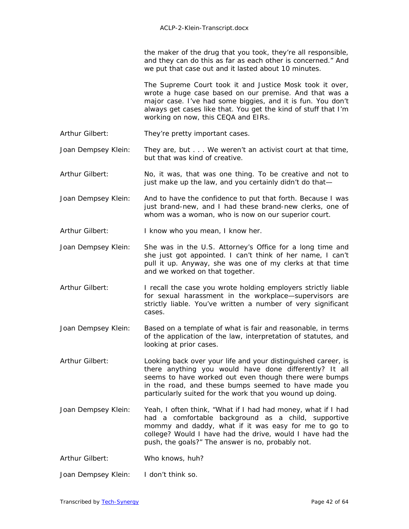the maker of the drug that you took, they're all responsible, and they can do this as far as each other is concerned." And we put that case out and it lasted about 10 minutes.

The Supreme Court took it and Justice Mosk took it over, wrote a huge case based on our premise. And that was a major case. I've had some biggies, and it is fun. You don't always get cases like that. You get the kind of stuff that I'm working on now, this CEQA and EIRs.

Arthur Gilbert: They're pretty important cases.

Joan Dempsey Klein: They are, but . . . We weren't an activist court at that time, but that was kind of creative.

- Arthur Gilbert: No, it was, that was one thing. To be creative and not to just make up the law, and you certainly didn't do that—
- Joan Dempsey Klein: And to have the confidence to put that forth. Because I was just brand-new, and I had these brand-new clerks, one of whom was a woman, who is now on our superior court.

Arthur Gilbert: I know who you mean, I know her.

- Joan Dempsey Klein: She was in the U.S. Attorney's Office for a long time and she just got appointed. I can't think of her name, I can't pull it up. Anyway, she was one of my clerks at that time and we worked on that together.
- Arthur Gilbert: I recall the case you wrote holding employers strictly liable for sexual harassment in the workplace—supervisors are strictly liable. You've written a number of very significant cases.
- Joan Dempsey Klein: Based on a template of what is fair and reasonable, in terms of the application of the law, interpretation of statutes, and looking at prior cases.

Arthur Gilbert: Looking back over your life and your distinguished career, is there anything you would have done differently? It all seems to have worked out even though there were bumps in the road, and these bumps seemed to have made you particularly suited for the work that you wound up doing.

Joan Dempsey Klein: Yeah, I often think, "What if I had had money, what if I had had a comfortable background as a child, supportive mommy and daddy, what if it was easy for me to go to college? Would I have had the drive, would I have had the push, the goals?" The answer is no, probably not.

Arthur Gilbert: Who knows, huh?

Joan Dempsey Klein: I don't think so.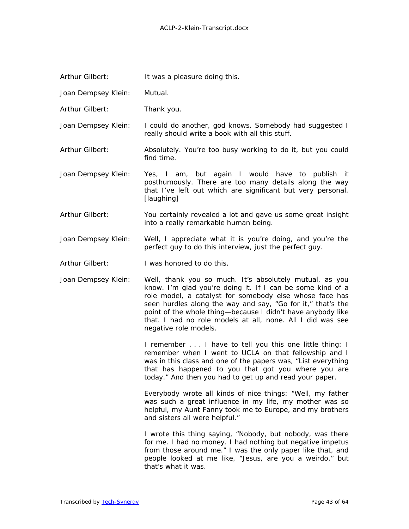| Arthur Gilbert: | It was a pleasure doing this. |  |
|-----------------|-------------------------------|--|
|                 |                               |  |

- Joan Dempsey Klein: Mutual.
- Arthur Gilbert: Thank you.
- Joan Dempsey Klein: I could do another, god knows. Somebody had suggested I really should write a book with all this stuff.
- Arthur Gilbert: Absolutely. You're too busy working to do it, but you could find time.
- Joan Dempsey Klein: Yes, I am, but again I would have to publish it posthumously. There are too many details along the way that I've left out which are significant but very personal. *[laughing]*
- Arthur Gilbert: You certainly revealed a lot and gave us some great insight into a really remarkable human being.
- Joan Dempsey Klein: Well, I appreciate what it is you're doing, and you're the perfect guy to do this interview, just the perfect guy.
- Arthur Gilbert: I was honored to do this.
- Joan Dempsey Klein: Well, thank you so much. It's absolutely mutual, as you know. I'm glad you're doing it. If I can be some kind of a role model, a catalyst for somebody else whose face has seen hurdles along the way and say, "Go for it," that's the point of the whole thing—because I didn't have anybody like that. I had no role models at all, none. All I did was see negative role models.

 I remember . . . I have to tell you this one little thing: I remember when I went to UCLA on that fellowship and I was in this class and one of the papers was, "List everything that has happened to you that got you where you are today." And then you had to get up and read your paper.

 Everybody wrote all kinds of nice things: "Well, my father was such a great influence in my life, my mother was so helpful, my Aunt Fanny took me to Europe, and my brothers and sisters all were helpful."

I wrote this thing saying, "Nobody, but nobody, was there for me. I had no money. I had nothing but negative impetus from those around me." I was the only paper like that, and people looked at me like, "Jesus, are you a weirdo," but that's what it was.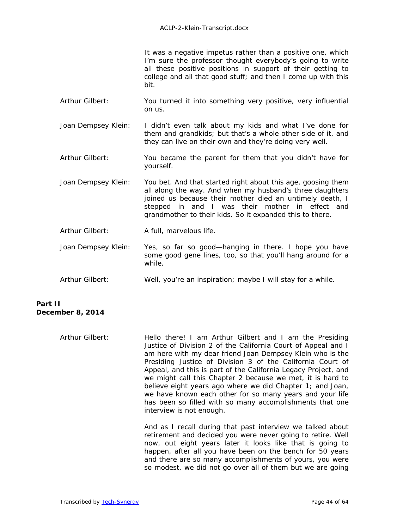It was a negative impetus rather than a positive one, which I'm sure the professor thought everybody's going to write all these positive positions in support of their getting to college and all that good stuff; and then I come up with this bit.

- Arthur Gilbert: You turned it into something very positive, very influential on us.
- Joan Dempsey Klein: I didn't even talk about my kids and what I've done for them and grandkids; but that's a whole other side of it, and they can live on their own and they're doing very well.
- Arthur Gilbert: You became the parent for them that you didn't have for yourself.
- Joan Dempsey Klein: You bet. And that started right about this age, goosing them all along the way. And when my husband's three daughters joined us because their mother died an untimely death, I stepped in and I was their mother in effect and grandmother to their kids. So it expanded this to there.
- Arthur Gilbert: A full, marvelous life.
- Joan Dempsey Klein: Yes, so far so good—hanging in there. I hope you have some good gene lines, too, so that you'll hang around for a while.
- Arthur Gilbert: Well, you're an inspiration; maybe I will stay for a while.

| Part II          |
|------------------|
| December 8, 2014 |

Arthur Gilbert: Hello there! I am Arthur Gilbert and I am the Presiding Justice of Division 2 of the California Court of Appeal and I am here with my dear friend Joan Dempsey Klein who is the Presiding Justice of Division 3 of the California Court of Appeal, and this is part of the California Legacy Project, and we might call this Chapter 2 because we met, it is hard to believe eight years ago where we did Chapter 1; and Joan, we have known each other for so many years and your life has been so filled with so many accomplishments that one interview is not enough.

And as I recall during that past interview we talked about retirement and decided you were never going to retire. Well now, out eight years later it looks like that is going to happen, after all you have been on the bench for 50 years and there are so many accomplishments of yours, you were so modest, we did not go over all of them but we are going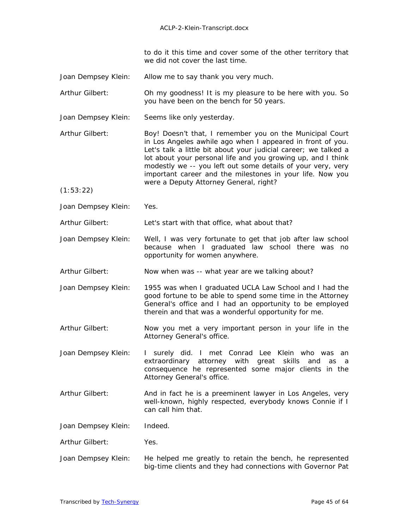to do it this time and cover some of the other territory that we did not cover the last time.

- Joan Dempsey Klein: Allow me to say thank you very much.
- Arthur Gilbert: Oh my goodness! It is my pleasure to be here with you. So you have been on the bench for 50 years.
- Joan Dempsey Klein: Seems like only yesterday.
- Arthur Gilbert: Boy! Doesn't that, I remember you on the Municipal Court in Los Angeles awhile ago when I appeared in front of you. Let's talk a little bit about your judicial career; we talked a lot about your personal life and you growing up, and I think modestly we -- you left out some details of your very, very important career and the milestones in your life. Now you were a Deputy Attorney General, right?
- (1:53:22)
- Joan Dempsey Klein: Yes.

Arthur Gilbert: Let's start with that office, what about that?

- Joan Dempsey Klein: Well, I was very fortunate to get that job after law school because when I graduated law school there was no opportunity for women anywhere.
- Arthur Gilbert: Now when was -- what year are we talking about?
- Joan Dempsey Klein: 1955 was when I graduated UCLA Law School and I had the good fortune to be able to spend some time in the Attorney General's office and I had an opportunity to be employed therein and that was a wonderful opportunity for me.
- Arthur Gilbert: Now you met a very important person in your life in the Attorney General's office.
- Joan Dempsey Klein: I surely did. I met Conrad Lee Klein who was an extraordinary attorney with great skills and as a consequence he represented some major clients in the Attorney General's office.
- Arthur Gilbert: And in fact he is a preeminent lawyer in Los Angeles, very well-known, highly respected, everybody knows Connie if I can call him that.

Joan Dempsey Klein: Indeed.

- Arthur Gilbert: Yes.
- Joan Dempsey Klein: He helped me greatly to retain the bench, he represented big-time clients and they had connections with Governor Pat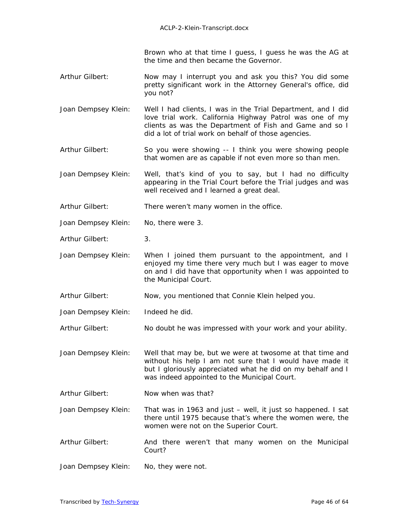Brown who at that time I guess, I guess he was the AG at the time and then became the Governor.

- Arthur Gilbert: Now may I interrupt you and ask you this? You did some pretty significant work in the Attorney General's office, did you not?
- Joan Dempsey Klein: Well I had clients, I was in the Trial Department, and I did love trial work. California Highway Patrol was one of my clients as was the Department of Fish and Game and so I did a lot of trial work on behalf of those agencies.
- Arthur Gilbert: So you were showing -- I think you were showing people that women are as capable if not even more so than men.
- Joan Dempsey Klein: Well, that's kind of you to say, but I had no difficulty appearing in the Trial Court before the Trial judges and was well received and I learned a great deal.
- Arthur Gilbert: There weren't many women in the office.
- Joan Dempsey Klein: No, there were 3.
- Arthur Gilbert: 3.
- Joan Dempsey Klein: When I joined them pursuant to the appointment, and I enjoyed my time there very much but I was eager to move on and I did have that opportunity when I was appointed to the Municipal Court.
- Arthur Gilbert: Now, you mentioned that Connie Klein helped you.
- Joan Dempsey Klein: Indeed he did.
- Arthur Gilbert: No doubt he was impressed with your work and your ability.
- Joan Dempsey Klein: Well that may be, but we were at twosome at that time and without his help I am not sure that I would have made it but I gloriously appreciated what he did on my behalf and I was indeed appointed to the Municipal Court.
- Arthur Gilbert: Now when was that?
- Joan Dempsey Klein: That was in 1963 and just well, it just so happened. I sat there until 1975 because that's where the women were, the women were not on the Superior Court.
- Arthur Gilbert: And there weren't that many women on the Municipal Court?
- Joan Dempsey Klein: No, they were not.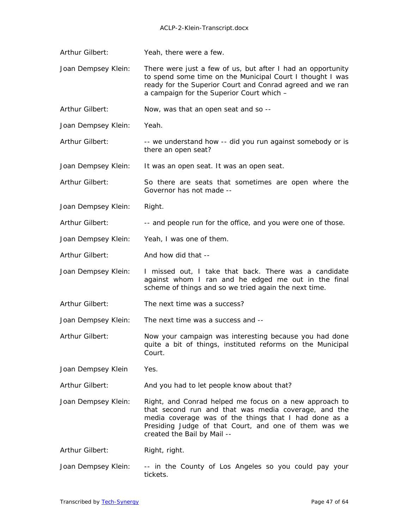- Arthur Gilbert: Yeah, there were a few.
- Joan Dempsey Klein: There were just a few of us, but after I had an opportunity to spend some time on the Municipal Court I thought I was ready for the Superior Court and Conrad agreed and we ran a campaign for the Superior Court which –
- Arthur Gilbert: Now, was that an open seat and so --
- Joan Dempsey Klein: Yeah.
- Arthur Gilbert: -- we understand how -- did you run against somebody or is there an open seat?
- Joan Dempsey Klein: It was an open seat. It was an open seat.
- Arthur Gilbert: So there are seats that sometimes are open where the Governor has not made --
- Joan Dempsey Klein: Right.
- Arthur Gilbert: -- and people run for the office, and you were one of those.
- Joan Dempsey Klein: Yeah, I was one of them.
- Arthur Gilbert: And how did that --
- Joan Dempsey Klein: I missed out, I take that back. There was a candidate against whom I ran and he edged me out in the final scheme of things and so we tried again the next time.
- Arthur Gilbert: The next time was a success?

Joan Dempsey Klein: The next time was a success and --

- Arthur Gilbert: Now your campaign was interesting because you had done quite a bit of things, instituted reforms on the Municipal Court.
- Joan Dempsey Klein Yes.
- Arthur Gilbert: And you had to let people know about that?
- Joan Dempsey Klein: Right, and Conrad helped me focus on a new approach to that second run and that was media coverage, and the media coverage was of the things that I had done as a Presiding Judge of that Court, and one of them was we created the Bail by Mail --
- Arthur Gilbert: Right, right.
- Joan Dempsey Klein: -- in the County of Los Angeles so you could pay your tickets.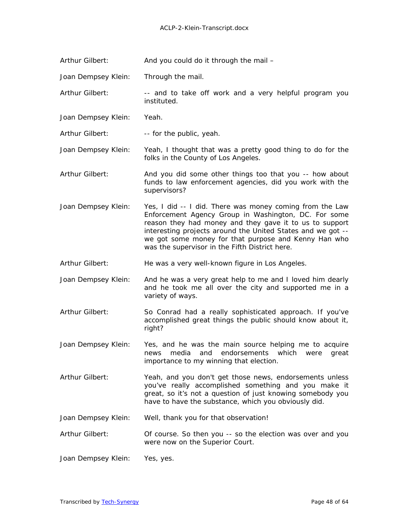Arthur Gilbert: And you could do it through the mail -

Joan Dempsey Klein: Through the mail.

Arthur Gilbert: -- and to take off work and a very helpful program you instituted.

Joan Dempsey Klein: Yeah.

Arthur Gilbert: -- for the public, yeah.

Joan Dempsey Klein: Yeah, I thought that was a pretty good thing to do for the folks in the County of Los Angeles.

- Arthur Gilbert: And you did some other things too that you -- how about funds to law enforcement agencies, did you work with the supervisors?
- Joan Dempsey Klein: Yes, I did -- I did. There was money coming from the Law Enforcement Agency Group in Washington, DC. For some reason they had money and they gave it to us to support interesting projects around the United States and we got - we got some money for that purpose and Kenny Han who was the supervisor in the Fifth District here.

Arthur Gilbert: He was a very well-known figure in Los Angeles.

Joan Dempsey Klein: And he was a very great help to me and I loved him dearly and he took me all over the city and supported me in a variety of ways.

- Arthur Gilbert: So Conrad had a really sophisticated approach. If you've accomplished great things the public should know about it, right?
- Joan Dempsey Klein: Yes, and he was the main source helping me to acquire news media and endorsements which were great importance to my winning that election.
- Arthur Gilbert: Yeah, and you don't get those news, endorsements unless you've really accomplished something and you make it great, so it's not a question of just knowing somebody you have to have the substance, which you obviously did.

Joan Dempsey Klein: Well, thank you for that observation!

Arthur Gilbert: Of course. So then you -- so the election was over and you were now on the Superior Court.

Joan Dempsey Klein: Yes, yes.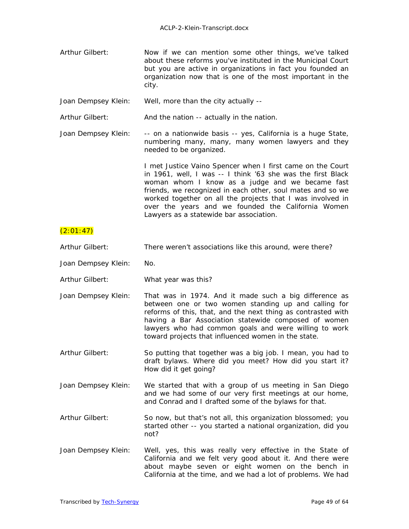Arthur Gilbert: Now if we can mention some other things, we've talked about these reforms you've instituted in the Municipal Court but you are active in organizations in fact you founded an organization now that is one of the most important in the city.

Joan Dempsey Klein: Well, more than the city actually --

Arthur Gilbert: And the nation -- actually in the nation.

Joan Dempsey Klein: -- on a nationwide basis -- yes, California is a huge State, numbering many, many, many women lawyers and they needed to be organized.

> I met Justice Vaino Spencer when I first came on the Court in 1961, well, I was -- I think '63 she was the first Black woman whom I know as a judge and we became fast friends, we recognized in each other, soul mates and so we worked together on all the projects that I was involved in over the years and we founded the California Women Lawyers as a statewide bar association.

## $(2:01:47)$

- Arthur Gilbert: There weren't associations like this around, were there?
- Joan Dempsey Klein: No.
- Arthur Gilbert: What year was this?
- Joan Dempsey Klein: That was in 1974. And it made such a big difference as between one or two women standing up and calling for reforms of this, that, and the next thing as contrasted with having a Bar Association statewide composed of women lawyers who had common goals and were willing to work toward projects that influenced women in the state.
- Arthur Gilbert: So putting that together was a big job. I mean, you had to draft bylaws. Where did you meet? How did you start it? How did it get going?
- Joan Dempsey Klein: We started that with a group of us meeting in San Diego and we had some of our very first meetings at our home, and Conrad and I drafted some of the bylaws for that.
- Arthur Gilbert: So now, but that's not all, this organization blossomed; you started other -- you started a national organization, did you not?
- Joan Dempsey Klein: Well, yes, this was really very effective in the State of California and we felt very good about it. And there were about maybe seven or eight women on the bench in California at the time, and we had a lot of problems. We had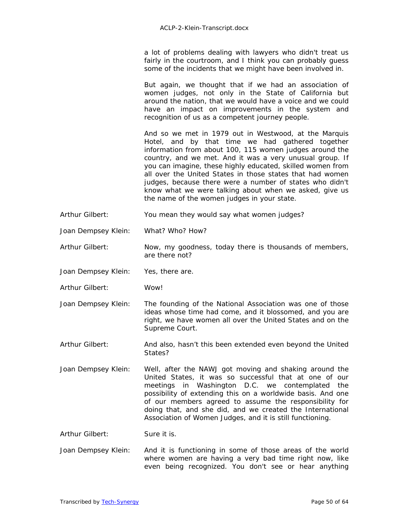a lot of problems dealing with lawyers who didn't treat us fairly in the courtroom, and I think you can probably guess some of the incidents that we might have been involved in.

But again, we thought that if we had an association of women judges, not only in the State of California but around the nation, that we would have a voice and we could have an impact on improvements in the system and recognition of us as a competent journey people.

And so we met in 1979 out in Westwood, at the Marquis Hotel, and by that time we had gathered together information from about 100, 115 women judges around the country, and we met. And it was a very unusual group. If you can imagine, these highly educated, skilled women from all over the United States in those states that had women judges, because there were a number of states who didn't know what we were talking about when we asked, give us the name of the women judges in your state.

- Arthur Gilbert: You mean they would say what women judges?
- Joan Dempsey Klein: What? Who? How?
- Arthur Gilbert: Now, my goodness, today there is thousands of members, are there not?
- Joan Dempsey Klein: Yes, there are.
- Arthur Gilbert: Wow!
- Joan Dempsey Klein: The founding of the National Association was one of those ideas whose time had come, and it blossomed, and you are right, we have women all over the United States and on the Supreme Court.
- Arthur Gilbert: And also, hasn't this been extended even beyond the United States?
- Joan Dempsey Klein: Well, after the NAWJ got moving and shaking around the United States, it was so successful that at one of our meetings in Washington D.C. we contemplated the possibility of extending this on a worldwide basis. And one of our members agreed to assume the responsibility for doing that, and she did, and we created the International Association of Women Judges, and it is still functioning.

Arthur Gilbert: Sure it is.

Joan Dempsey Klein: And it is functioning in some of those areas of the world where women are having a very bad time right now, like even being recognized. You don't see or hear anything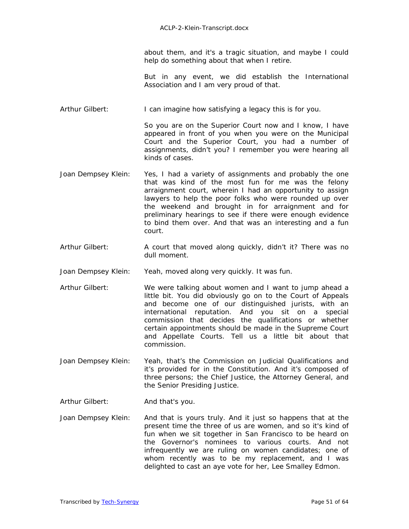about them, and it's a tragic situation, and maybe I could help do something about that when I retire.

But in any event, we did establish the International Association and I am very proud of that.

Arthur Gilbert: I can imagine how satisfying a legacy this is for you.

So you are on the Superior Court now and I know, I have appeared in front of you when you were on the Municipal Court and the Superior Court, you had a number of assignments, didn't you? I remember you were hearing all kinds of cases.

- Joan Dempsey Klein: Yes, I had a variety of assignments and probably the one that was kind of the most fun for me was the felony arraignment court, wherein I had an opportunity to assign lawyers to help the poor folks who were rounded up over the weekend and brought in for arraignment and for preliminary hearings to see if there were enough evidence to bind them over. And that was an interesting and a fun court.
- Arthur Gilbert: A court that moved along quickly, didn't it? There was no dull moment.
- Joan Dempsey Klein: Yeah, moved along very quickly. It was fun.
- Arthur Gilbert: We were talking about women and I want to jump ahead a little bit. You did obviously go on to the Court of Appeals and become one of our distinguished jurists, with an international reputation. And you sit on a special commission that decides the qualifications or whether certain appointments should be made in the Supreme Court and Appellate Courts. Tell us a little bit about that commission.
- Joan Dempsey Klein: Yeah, that's the Commission on Judicial Qualifications and it's provided for in the Constitution. And it's composed of three persons; the Chief Justice, the Attorney General, and the Senior Presiding Justice.
- Arthur Gilbert: And that's you.
- Joan Dempsey Klein: And that is yours truly. And it just so happens that at the present time the three of us are women, and so it's kind of fun when we sit together in San Francisco to be heard on the Governor's nominees to various courts. And not infrequently we are ruling on women candidates; one of whom recently was to be my replacement, and I was delighted to cast an aye vote for her, Lee Smalley Edmon.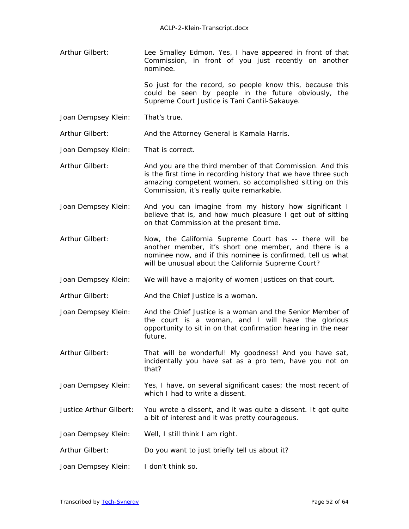Arthur Gilbert: Lee Smalley Edmon. Yes, I have appeared in front of that Commission, in front of you just recently on another nominee.

> So just for the record, so people know this, because this could be seen by people in the future obviously, the Supreme Court Justice is Tani Cantil-Sakauye.

Joan Dempsey Klein: That's true.

Arthur Gilbert: And the Attorney General is Kamala Harris.

Joan Dempsey Klein: That is correct.

- Arthur Gilbert: And you are the third member of that Commission. And this is the first time in recording history that we have three such amazing competent women, so accomplished sitting on this Commission, it's really quite remarkable.
- Joan Dempsey Klein: And you can imagine from my history how significant I believe that is, and how much pleasure I get out of sitting on that Commission at the present time.
- Arthur Gilbert: Now, the California Supreme Court has -- there will be another member, it's short one member, and there is a nominee now, and if this nominee is confirmed, tell us what will be unusual about the California Supreme Court?
- Joan Dempsey Klein: We will have a majority of women justices on that court.

Arthur Gilbert: And the Chief Justice is a woman.

- Joan Dempsey Klein: And the Chief Justice is a woman and the Senior Member of the court is a woman, and I will have the glorious opportunity to sit in on that confirmation hearing in the near future.
- Arthur Gilbert: That will be wonderful! My goodness! And you have sat, incidentally you have sat as a pro tem, have you not on that?
- Joan Dempsey Klein: Yes, I have, on several significant cases; the most recent of which I had to write a dissent.
- Justice Arthur Gilbert: You wrote a dissent, and it was quite a dissent. It got quite a bit of interest and it was pretty courageous.
- Joan Dempsey Klein: Well, I still think I am right.
- Arthur Gilbert: Do you want to just briefly tell us about it?
- Joan Dempsey Klein: I don't think so.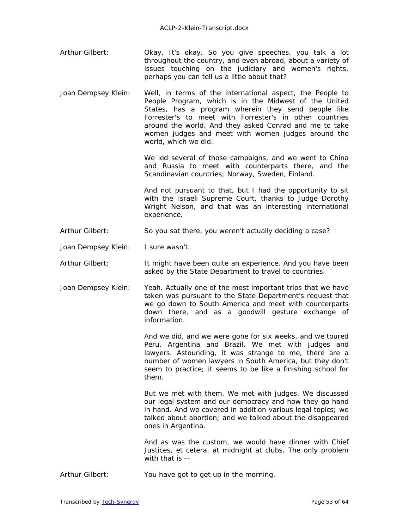- Arthur Gilbert: Okay. It's okay. So you give speeches, you talk a lot throughout the country, and even abroad, about a variety of issues touching on the judiciary and women's rights, perhaps you can tell us a little about that?
- Joan Dempsey Klein: Well, in terms of the international aspect, the People to People Program, which is in the Midwest of the United States, has a program wherein they send people like Forrester's to meet with Forrester's in other countries around the world. And they asked Conrad and me to take women judges and meet with women judges around the world, which we did.

We led several of those campaigns, and we went to China and Russia to meet with counterparts there, and the Scandinavian countries; Norway, Sweden, Finland.

And not pursuant to that, but I had the opportunity to sit with the Israeli Supreme Court, thanks to Judge Dorothy Wright Nelson, and that was an interesting international experience.

- Arthur Gilbert: So you sat there, you weren't actually deciding a case?
- Joan Dempsey Klein: I sure wasn't.

Arthur Gilbert: It might have been quite an experience. And you have been asked by the State Department to travel to countries.

Joan Dempsey Klein: Yeah. Actually one of the most important trips that we have taken was pursuant to the State Department's request that we go down to South America and meet with counterparts down there, and as a goodwill gesture exchange of information.

> And we did, and we were gone for six weeks, and we toured Peru, Argentina and Brazil. We met with judges and lawyers. Astounding, it was strange to me, there are a number of women lawyers in South America, but they don't seem to practice; it seems to be like a finishing school for them.

> But we met with them. We met with judges. We discussed our legal system and our democracy and how they go hand in hand. And we covered in addition various legal topics; we talked about abortion; and we talked about the disappeared ones in Argentina.

> And as was the custom, we would have dinner with Chief Justices, et cetera, at midnight at clubs. The only problem with that is --

Arthur Gilbert: You have got to get up in the morning.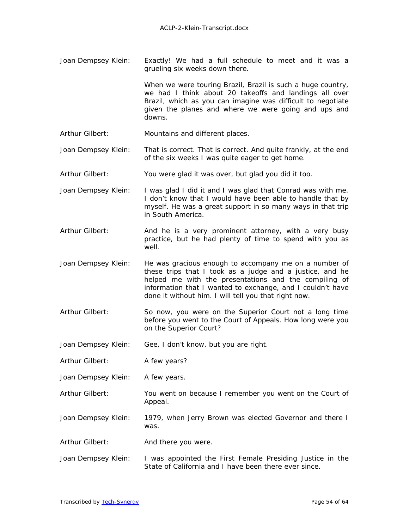Joan Dempsey Klein: Exactly! We had a full schedule to meet and it was a grueling six weeks down there.

> When we were touring Brazil, Brazil is such a huge country, we had I think about 20 takeoffs and landings all over Brazil, which as you can imagine was difficult to negotiate given the planes and where we were going and ups and downs.

- Arthur Gilbert: Mountains and different places.
- Joan Dempsey Klein: That is correct. That is correct. And quite frankly, at the end of the six weeks I was quite eager to get home.
- Arthur Gilbert: You were glad it was over, but glad you did it too.
- Joan Dempsey Klein: I was glad I did it and I was glad that Conrad was with me. I don't know that I would have been able to handle that by myself. He was a great support in so many ways in that trip in South America.
- Arthur Gilbert: And he is a very prominent attorney, with a very busy practice, but he had plenty of time to spend with you as well.
- Joan Dempsey Klein: He was gracious enough to accompany me on a number of these trips that I took as a judge and a justice, and he helped me with the presentations and the compiling of information that I wanted to exchange, and I couldn't have done it without him. I will tell you that right now.
- Arthur Gilbert: So now, you were on the Superior Court not a long time before you went to the Court of Appeals. How long were you on the Superior Court?
- Joan Dempsey Klein: Gee, I don't know, but you are right.
- Arthur Gilbert: A few years?
- Joan Dempsey Klein: A few years.
- Arthur Gilbert: You went on because I remember you went on the Court of Appeal.
- Joan Dempsey Klein: 1979, when Jerry Brown was elected Governor and there I was.
- Arthur Gilbert: And there you were.
- Joan Dempsey Klein: I was appointed the First Female Presiding Justice in the State of California and I have been there ever since.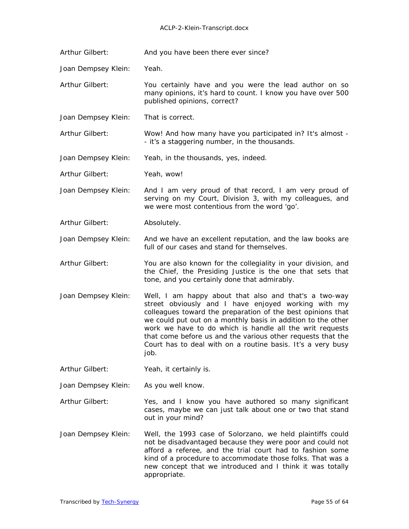### ACLP-2-Klein-Transcript.docx

Arthur Gilbert: And you have been there ever since?

Joan Dempsey Klein: Yeah.

Arthur Gilbert: You certainly have and you were the lead author on so many opinions, it's hard to count. I know you have over 500 published opinions, correct?

Joan Dempsey Klein: That is correct.

Arthur Gilbert: Wow! And how many have you participated in? It's almost - - it's a staggering number, in the thousands.

Joan Dempsey Klein: Yeah, in the thousands, yes, indeed.

Arthur Gilbert: Yeah, wow!

Joan Dempsey Klein: And I am very proud of that record, I am very proud of serving on my Court, Division 3, with my colleagues, and we were most contentious from the word 'go'.

Arthur Gilbert: Absolutely.

Joan Dempsey Klein: And we have an excellent reputation, and the law books are full of our cases and stand for themselves.

Arthur Gilbert: You are also known for the collegiality in your division, and the Chief, the Presiding Justice is the one that sets that tone, and you certainly done that admirably.

Joan Dempsey Klein: Well, I am happy about that also and that's a two-way street obviously and I have enjoyed working with my colleagues toward the preparation of the best opinions that we could put out on a monthly basis in addition to the other work we have to do which is handle all the writ requests that come before us and the various other requests that the Court has to deal with on a routine basis. It's a very busy job.

Arthur Gilbert: Yeah, it certainly is.

Joan Dempsey Klein: As you well know.

Arthur Gilbert: Yes, and I know you have authored so many significant cases, maybe we can just talk about one or two that stand out in your mind?

Joan Dempsey Klein: Well, the 1993 case of Solorzano, we held plaintiffs could not be disadvantaged because they were poor and could not afford a referee, and the trial court had to fashion some kind of a procedure to accommodate those folks. That was a new concept that we introduced and I think it was totally appropriate.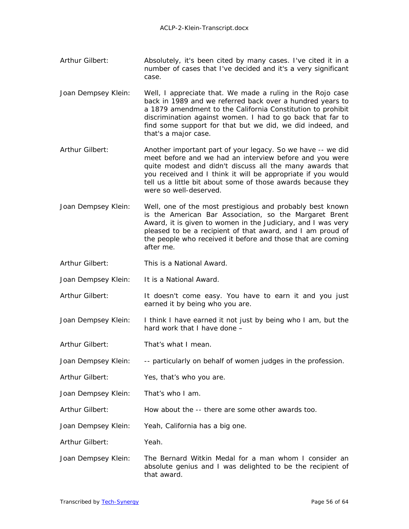- Arthur Gilbert: Absolutely, it's been cited by many cases. I've cited it in a number of cases that I've decided and it's a very significant case.
- Joan Dempsey Klein: Well, I appreciate that. We made a ruling in the Rojo case back in 1989 and we referred back over a hundred years to a 1879 amendment to the California Constitution to prohibit discrimination against women. I had to go back that far to find some support for that but we did, we did indeed, and that's a major case.
- Arthur Gilbert: Another important part of your legacy. So we have -- we did meet before and we had an interview before and you were quite modest and didn't discuss all the many awards that you received and I think it will be appropriate if you would tell us a little bit about some of those awards because they were so well-deserved.
- Joan Dempsey Klein: Well, one of the most prestigious and probably best known is the American Bar Association, so the Margaret Brent Award, it is given to women in the Judiciary, and I was very pleased to be a recipient of that award, and I am proud of the people who received it before and those that are coming after me.
- Arthur Gilbert: This is a National Award.
- Joan Dempsey Klein: It is a National Award.
- Arthur Gilbert: It doesn't come easy. You have to earn it and you just earned it by being who you are.
- Joan Dempsey Klein: I think I have earned it not just by being who I am, but the hard work that I have done –
- Arthur Gilbert: That's what I mean.
- Joan Dempsey Klein: -- particularly on behalf of women judges in the profession.
- Arthur Gilbert: Yes, that's who you are.
- Joan Dempsey Klein: That's who I am.
- Arthur Gilbert: How about the -- there are some other awards too.
- Joan Dempsey Klein: Yeah, California has a big one.
- Arthur Gilbert: Yeah.
- Joan Dempsey Klein: The Bernard Witkin Medal for a man whom I consider an absolute genius and I was delighted to be the recipient of that award.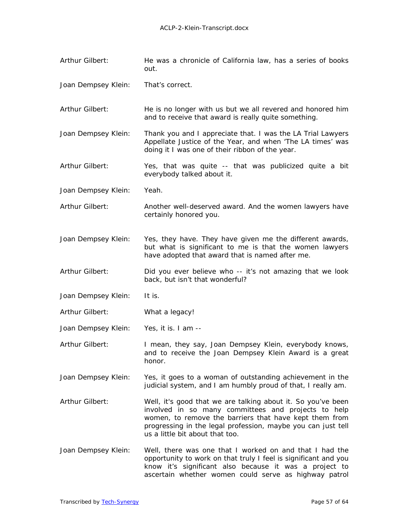- Arthur Gilbert: He was a chronicle of California law, has a series of books out.
- Joan Dempsey Klein: That's correct.
- Arthur Gilbert: He is no longer with us but we all revered and honored him and to receive that award is really quite something.
- Joan Dempsey Klein: Thank you and I appreciate that. I was the LA Trial Lawyers Appellate Justice of the Year, and when '*The LA times*' was doing it I was one of their ribbon of the year.
- Arthur Gilbert: Yes, that was quite -- that was publicized quite a bit everybody talked about it.
- Joan Dempsey Klein: Yeah.
- Arthur Gilbert: Another well-deserved award. And the women lawyers have certainly honored you.
- Joan Dempsey Klein: Yes, they have. They have given me the different awards, but what is significant to me is that the women lawyers have adopted that award that is named after me.
- Arthur Gilbert: Did you ever believe who -- it's not amazing that we look back, but isn't that wonderful?
- Joan Dempsey Klein: It is.
- Arthur Gilbert: What a legacy!
- Joan Dempsey Klein: Yes, it is. I am --
- Arthur Gilbert: I mean, they say, Joan Dempsey Klein, everybody knows, and to receive the Joan Dempsey Klein Award is a great honor.
- Joan Dempsey Klein: Yes, it goes to a woman of outstanding achievement in the judicial system, and I am humbly proud of that, I really am.
- Arthur Gilbert: Well, it's good that we are talking about it. So you've been involved in so many committees and projects to help women, to remove the barriers that have kept them from progressing in the legal profession, maybe you can just tell us a little bit about that too.
- Joan Dempsey Klein: Well, there was one that I worked on and that I had the opportunity to work on that truly I feel is significant and you know it's significant also because it was a project to ascertain whether women could serve as highway patrol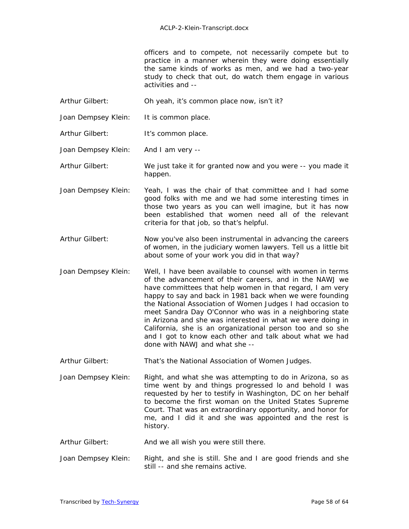officers and to compete, not necessarily compete but to practice in a manner wherein they were doing essentially the same kinds of works as men, and we had a two-year study to check that out, do watch them engage in various activities and --

- Arthur Gilbert: Oh yeah, it's common place now, isn't it?
- Joan Dempsey Klein: It is common place.
- Arthur Gilbert: It's common place.
- Joan Dempsey Klein: And I am very --

Arthur Gilbert: We just take it for granted now and you were -- you made it happen.

- Joan Dempsey Klein: Yeah, I was the chair of that committee and I had some good folks with me and we had some interesting times in those two years as you can well imagine, but it has now been established that women need all of the relevant criteria for that job, so that's helpful.
- Arthur Gilbert: Now you've also been instrumental in advancing the careers of women, in the judiciary women lawyers. Tell us a little bit about some of your work you did in that way?
- Joan Dempsey Klein: Well, I have been available to counsel with women in terms of the advancement of their careers, and in the NAWJ we have committees that help women in that regard, I am very happy to say and back in 1981 back when we were founding the National Association of Women Judges I had occasion to meet Sandra Day O'Connor who was in a neighboring state in Arizona and she was interested in what we were doing in California, she is an organizational person too and so she and I got to know each other and talk about what we had done with NAWJ and what she --
- Arthur Gilbert: That's the National Association of Women Judges.
- Joan Dempsey Klein: Right, and what she was attempting to do in Arizona, so as time went by and things progressed lo and behold I was requested by her to testify in Washington, DC on her behalf to become the first woman on the United States Supreme Court. That was an extraordinary opportunity, and honor for me, and I did it and she was appointed and the rest is history.
- Arthur Gilbert: And we all wish you were still there.
- Joan Dempsey Klein: Right, and she is still. She and I are good friends and she still -- and she remains active.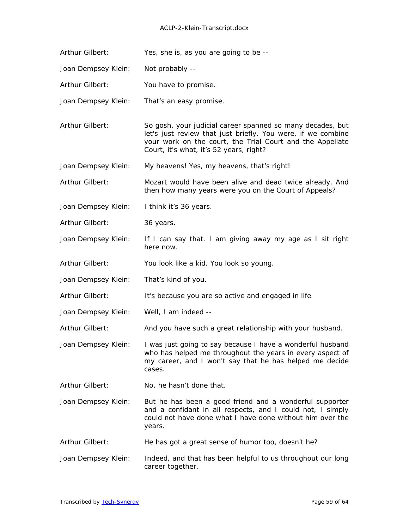#### ACLP-2-Klein-Transcript.docx

Arthur Gilbert: Yes, she is, as you are going to be --

Joan Dempsey Klein: Not probably --

Arthur Gilbert: You have to promise.

Joan Dempsey Klein: That's an easy promise.

Arthur Gilbert: So gosh, your judicial career spanned so many decades, but let's just review that just briefly. You were, if we combine your work on the court, the Trial Court and the Appellate Court, it's what, it's 52 years, right?

Joan Dempsey Klein: My heavens! Yes, my heavens, that's right!

Arthur Gilbert: Mozart would have been alive and dead twice already. And then how many years were you on the Court of Appeals?

Joan Dempsey Klein: I think it's 36 years.

Arthur Gilbert: 36 years.

Joan Dempsey Klein: If I can say that. I am giving away my age as I sit right here now.

Arthur Gilbert: You look like a kid. You look so young.

Joan Dempsey Klein: That's kind of you.

Arthur Gilbert: It's because you are so active and engaged in life

Joan Dempsey Klein: Well, I am indeed --

Arthur Gilbert: And you have such a great relationship with your husband.

Joan Dempsey Klein: I was just going to say because I have a wonderful husband who has helped me throughout the years in every aspect of my career, and I won't say that he has helped me decide cases.

Arthur Gilbert: No, he hasn't done that.

Joan Dempsey Klein: But he has been a good friend and a wonderful supporter and a confidant in all respects, and I could not, I simply could not have done what I have done without him over the years.

Arthur Gilbert: He has got a great sense of humor too, doesn't he?

Joan Dempsey Klein: Indeed, and that has been helpful to us throughout our long career together.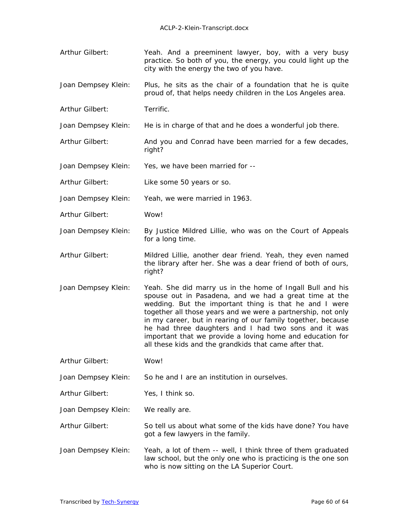- Arthur Gilbert: Yeah. And a preeminent lawyer, boy, with a very busy practice. So both of you, the energy, you could light up the city with the energy the two of you have.
- Joan Dempsey Klein: Plus, he sits as the chair of a foundation that he is quite proud of, that helps needy children in the Los Angeles area.
- Arthur Gilbert: Terrific.
- Joan Dempsey Klein: He is in charge of that and he does a wonderful job there.
- Arthur Gilbert: And you and Conrad have been married for a few decades, right?
- Joan Dempsey Klein: Yes, we have been married for --
- Arthur Gilbert: Like some 50 years or so.
- Joan Dempsey Klein: Yeah, we were married in 1963.
- Arthur Gilbert: Wow!
- Joan Dempsey Klein: By Justice Mildred Lillie, who was on the Court of Appeals for a long time.
- Arthur Gilbert: Mildred Lillie, another dear friend. Yeah, they even named the library after her. She was a dear friend of both of ours, right?
- Joan Dempsey Klein: Yeah. She did marry us in the home of Ingall Bull and his spouse out in Pasadena, and we had a great time at the wedding. But the important thing is that he and I were together all those years and we were a partnership, not only in my career, but in rearing of our family together, because he had three daughters and I had two sons and it was important that we provide a loving home and education for all these kids and the grandkids that came after that.
- Arthur Gilbert: Wow!
- Joan Dempsey Klein: So he and I are an institution in ourselves.
- Arthur Gilbert: Yes, I think so.
- Joan Dempsey Klein: We really are.
- Arthur Gilbert: So tell us about what some of the kids have done? You have got a few lawyers in the family.
- Joan Dempsey Klein: Yeah, a lot of them -- well, I think three of them graduated law school, but the only one who is practicing is the one son who is now sitting on the LA Superior Court.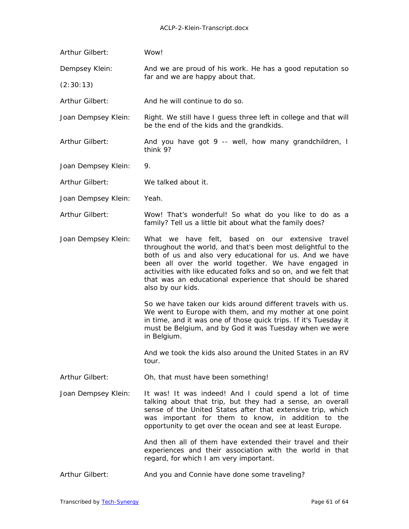| Arthur Gilbert:     | Wow!                                                                                                                                                                                                                                                                                                                                                                                     |  |
|---------------------|------------------------------------------------------------------------------------------------------------------------------------------------------------------------------------------------------------------------------------------------------------------------------------------------------------------------------------------------------------------------------------------|--|
| Dempsey Klein:      | And we are proud of his work. He has a good reputation so                                                                                                                                                                                                                                                                                                                                |  |
| (2:30:13)           | far and we are happy about that.                                                                                                                                                                                                                                                                                                                                                         |  |
| Arthur Gilbert:     | And he will continue to do so.                                                                                                                                                                                                                                                                                                                                                           |  |
| Joan Dempsey Klein: | Right. We still have I guess three left in college and that will<br>be the end of the kids and the grandkids.                                                                                                                                                                                                                                                                            |  |
| Arthur Gilbert:     | And you have got 9 -- well, how many grandchildren, I<br>think 9?                                                                                                                                                                                                                                                                                                                        |  |
| Joan Dempsey Klein: | 9.                                                                                                                                                                                                                                                                                                                                                                                       |  |
| Arthur Gilbert:     | We talked about it.                                                                                                                                                                                                                                                                                                                                                                      |  |
| Joan Dempsey Klein: | Yeah.                                                                                                                                                                                                                                                                                                                                                                                    |  |
| Arthur Gilbert:     | Wow! That's wonderful! So what do you like to do as a<br>family? Tell us a little bit about what the family does?                                                                                                                                                                                                                                                                        |  |
| Joan Dempsey Klein: | What we have felt, based on our extensive travel<br>throughout the world, and that's been most delightful to the<br>both of us and also very educational for us. And we have<br>been all over the world together. We have engaged in<br>activities with like educated folks and so on, and we felt that<br>that was an educational experience that should be shared<br>also by our kids. |  |
|                     | So we have taken our kids around different travels with us.<br>We went to Europe with them, and my mother at one point<br>in time, and it was one of those quick trips. If it's Tuesday it<br>must be Belgium, and by God it was Tuesday when we were<br>in Belgium.                                                                                                                     |  |
|                     | And we took the kids also around the United States in an RV<br>tour.                                                                                                                                                                                                                                                                                                                     |  |
| Arthur Gilbert:     | Oh, that must have been something!                                                                                                                                                                                                                                                                                                                                                       |  |
| Joan Dempsey Klein: | It was! It was indeed! And I could spend a lot of time<br>talking about that trip, but they had a sense, an overall<br>sense of the United States after that extensive trip, which<br>was important for them to know, in addition to the<br>opportunity to get over the ocean and see at least Europe.                                                                                   |  |
|                     | And then all of them have extended their travel and their<br>experiences and their association with the world in that<br>regard, for which I am very important.                                                                                                                                                                                                                          |  |
| Arthur Gilbert:     | And you and Connie have done some traveling?                                                                                                                                                                                                                                                                                                                                             |  |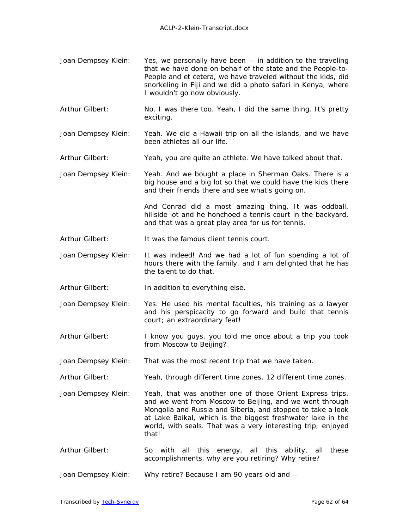- Joan Dempsey Klein: Yes, we personally have been -- in addition to the traveling that we have done on behalf of the state and the People-to-People and et cetera, we have traveled without the kids, did snorkeling in Fiji and we did a photo safari in Kenya, where I wouldn't go now obviously.
- Arthur Gilbert: No. I was there too. Yeah, I did the same thing. It's pretty exciting.
- Joan Dempsey Klein: Yeah. We did a Hawaii trip on all the islands, and we have been athletes all our life.
- Arthur Gilbert: Yeah, you are quite an athlete. We have talked about that.
- Joan Dempsey Klein: Yeah. And we bought a place in Sherman Oaks. There is a big house and a big lot so that we could have the kids there and their friends there and see what's going on.

And Conrad did a most amazing thing. It was oddball, hillside lot and he honchoed a tennis court in the backyard, and that was a great play area for us for tennis.

- Arthur Gilbert: It was the famous client tennis court.
- Joan Dempsey Klein: It was indeed! And we had a lot of fun spending a lot of hours there with the family, and I am delighted that he has the talent to do that.
- Arthur Gilbert: In addition to everything else.
- Joan Dempsey Klein: Yes. He used his mental faculties, his training as a lawyer and his perspicacity to go forward and build that tennis court; an extraordinary feat!
- Arthur Gilbert: I know you guys, you told me once about a trip you took from Moscow to Beijing?
- Joan Dempsey Klein: That was the most recent trip that we have taken.
- Arthur Gilbert: Yeah, through different time zones, 12 different time zones.
- Joan Dempsey Klein: Yeah, that was another one of those Orient Express trips, and we went from Moscow to Beijing, and we went through Mongolia and Russia and Siberia, and stopped to take a look at Lake Baikal, which is the biggest freshwater lake in the world, with seals. That was a very interesting trip; enjoyed that!
- Arthur Gilbert: So with all this energy, all this ability, all these accomplishments, why are you retiring? Why retire?
- Joan Dempsey Klein: Why retire? Because I am 90 years old and --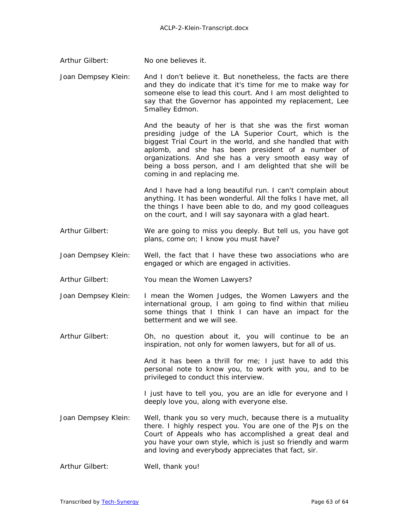| Arthur Gilbert: | No one believes it. |
|-----------------|---------------------|
|-----------------|---------------------|

Joan Dempsey Klein: And I don't believe it. But nonetheless, the facts are there and they do indicate that it's time for me to make way for someone else to lead this court. And I am most delighted to say that the Governor has appointed my replacement, Lee Smalley Edmon.

> And the beauty of her is that she was the first woman presiding judge of the LA Superior Court, which is the biggest Trial Court in the world, and she handled that with aplomb, and she has been president of a number of organizations. And she has a very smooth easy way of being a boss person, and I am delighted that she will be coming in and replacing me.

> And I have had a long beautiful run. I can't complain about anything. It has been wonderful. All the folks I have met, all the things I have been able to do, and my good colleagues on the court, and I will say sayonara with a glad heart.

- Arthur Gilbert: We are going to miss you deeply. But tell us, you have got plans, come on; I know you must have?
- Joan Dempsey Klein: Well, the fact that I have these two associations who are engaged or which are engaged in activities.
- Arthur Gilbert: You mean the Women Lawyers?
- Joan Dempsey Klein: I mean the Women Judges, the Women Lawyers and the international group, I am going to find within that milieu some things that I think I can have an impact for the betterment and we will see.
- Arthur Gilbert: Oh, no question about it, you will continue to be an inspiration, not only for women lawyers, but for all of us.

And it has been a thrill for me; I just have to add this personal note to know you, to work with you, and to be privileged to conduct this interview.

I just have to tell you, you are an idle for everyone and I deeply love you, along with everyone else.

- Joan Dempsey Klein: Well, thank you so very much, because there is a mutuality there. I highly respect you. You are one of the PJs on the Court of Appeals who has accomplished a great deal and you have your own style, which is just so friendly and warm and loving and everybody appreciates that fact, sir.
- Arthur Gilbert: Well, thank you!